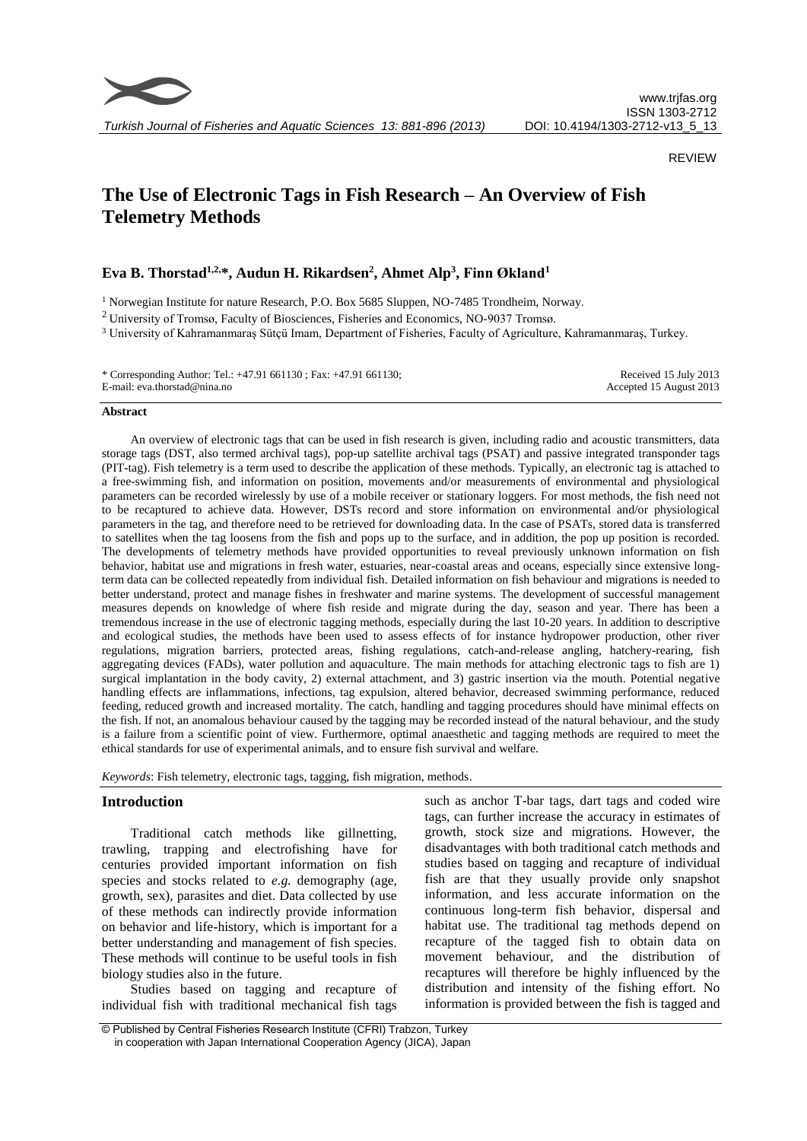

REVIEW

# **The Use of Electronic Tags in Fish Research – An Overview of Fish Telemetry Methods**

# **Eva B. Thorstad1,2,\*, Audun H. Rikardsen<sup>2</sup> , Ahmet Alp<sup>3</sup> , Finn Økland<sup>1</sup>**

<sup>1</sup> Norwegian Institute for nature Research, P.O. Box 5685 Sluppen, NO-7485 Trondheim, Norway.

<sup>2</sup>University of Tromsø, Faculty of Biosciences, Fisheries and Economics, NO-9037 Tromsø.

<sup>3</sup> University of Kahramanmaraş Sütçü Imam, Department of Fisheries, Faculty of Agriculture, Kahramanmaraş, Turkey.

| * Corresponding Author: Tel.: $+47.91\,661130$ ; Fax: $+47.91\,661130$ ; | Received 15 July 2013   |
|--------------------------------------------------------------------------|-------------------------|
| E-mail: eva.thorstad@nina.no                                             | Accepted 15 August 2013 |

#### **Abstract**

An overview of electronic tags that can be used in fish research is given, including radio and acoustic transmitters, data storage tags (DST, also termed archival tags), pop-up satellite archival tags (PSAT) and passive integrated transponder tags (PIT-tag). Fish telemetry is a term used to describe the application of these methods. Typically, an electronic tag is attached to a free-swimming fish, and information on position, movements and/or measurements of environmental and physiological parameters can be recorded wirelessly by use of a mobile receiver or stationary loggers. For most methods, the fish need not to be recaptured to achieve data. However, DSTs record and store information on environmental and/or physiological parameters in the tag, and therefore need to be retrieved for downloading data. In the case of PSATs, stored data is transferred to satellites when the tag loosens from the fish and pops up to the surface, and in addition, the pop up position is recorded. The developments of telemetry methods have provided opportunities to reveal previously unknown information on fish behavior, habitat use and migrations in fresh water, estuaries, near-coastal areas and oceans, especially since extensive longterm data can be collected repeatedly from individual fish. Detailed information on fish behaviour and migrations is needed to better understand, protect and manage fishes in freshwater and marine systems. The development of successful management measures depends on knowledge of where fish reside and migrate during the day, season and year. There has been a tremendous increase in the use of electronic tagging methods, especially during the last 10-20 years. In addition to descriptive and ecological studies, the methods have been used to assess effects of for instance hydropower production, other river regulations, migration barriers, protected areas, fishing regulations, catch-and-release angling, hatchery-rearing, fish aggregating devices (FADs), water pollution and aquaculture. The main methods for attaching electronic tags to fish are 1) surgical implantation in the body cavity, 2) external attachment, and 3) gastric insertion via the mouth. Potential negative handling effects are inflammations, infections, tag expulsion, altered behavior, decreased swimming performance, reduced feeding, reduced growth and increased mortality. The catch, handling and tagging procedures should have minimal effects on the fish. If not, an anomalous behaviour caused by the tagging may be recorded instead of the natural behaviour, and the study is a failure from a scientific point of view. Furthermore, optimal anaesthetic and tagging methods are required to meet the ethical standards for use of experimental animals, and to ensure fish survival and welfare.

*Keywords*: Fish telemetry, electronic tags, tagging, fish migration, methods.

### **Introduction**

Traditional catch methods like gillnetting, trawling, trapping and electrofishing have for centuries provided important information on fish species and stocks related to *e.g.* demography (age, growth, sex), parasites and diet. Data collected by use of these methods can indirectly provide information on behavior and life-history, which is important for a better understanding and management of fish species. These methods will continue to be useful tools in fish biology studies also in the future.

Studies based on tagging and recapture of individual fish with traditional mechanical fish tags such as anchor T-bar tags, dart tags and coded wire tags, can further increase the accuracy in estimates of growth, stock size and migrations. However, the disadvantages with both traditional catch methods and studies based on tagging and recapture of individual fish are that they usually provide only snapshot information, and less accurate information on the continuous long-term fish behavior, dispersal and habitat use. The traditional tag methods depend on recapture of the tagged fish to obtain data on movement behaviour, and the distribution of recaptures will therefore be highly influenced by the distribution and intensity of the fishing effort. No information is provided between the fish is tagged and

<sup>©</sup> Published by Central Fisheries Research Institute (CFRI) Trabzon, Turkey in cooperation with Japan International Cooperation Agency (JICA), Japan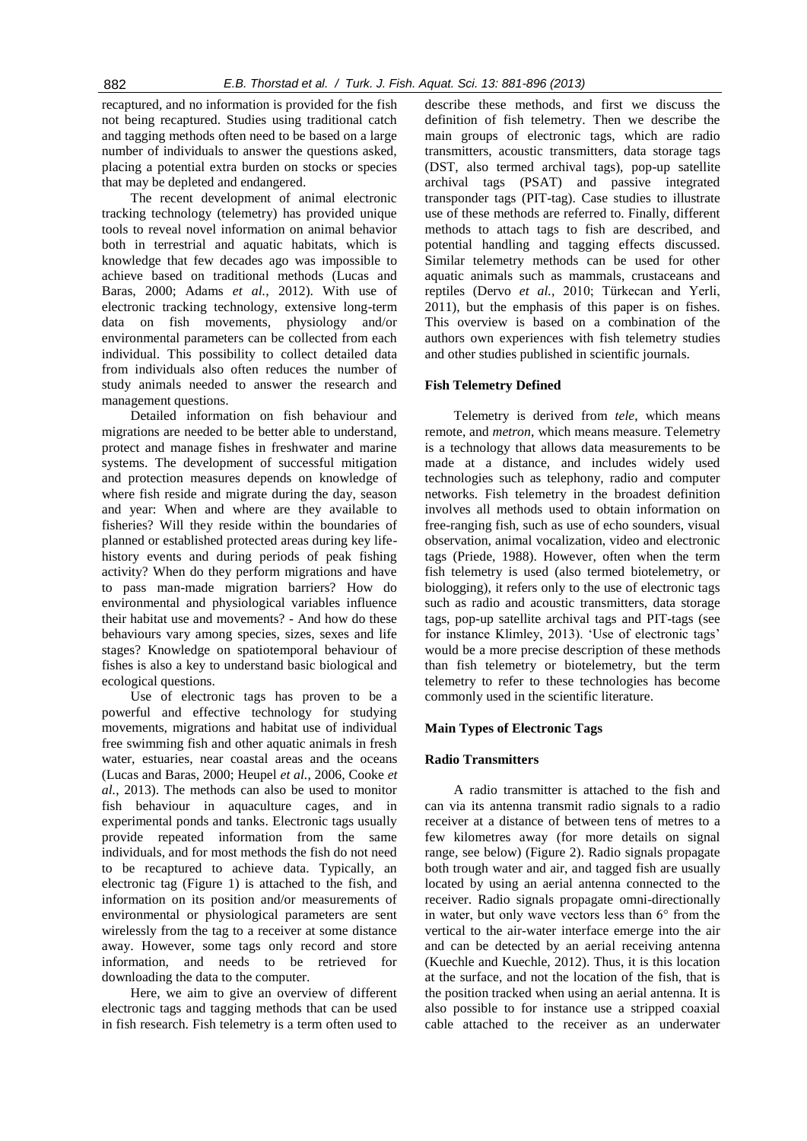recaptured, and no information is provided for the fish not being recaptured. Studies using traditional catch and tagging methods often need to be based on a large number of individuals to answer the questions asked, placing a potential extra burden on stocks or species that may be depleted and endangered.

The recent development of animal electronic tracking technology (telemetry) has provided unique tools to reveal novel information on animal behavior both in terrestrial and aquatic habitats, which is knowledge that few decades ago was impossible to achieve based on traditional methods (Lucas and Baras, 2000; Adams *et al.,* 2012). With use of electronic tracking technology, extensive long-term data on fish movements, physiology and/or environmental parameters can be collected from each individual. This possibility to collect detailed data from individuals also often reduces the number of study animals needed to answer the research and management questions.

Detailed information on fish behaviour and migrations are needed to be better able to understand, protect and manage fishes in freshwater and marine systems. The development of successful mitigation and protection measures depends on knowledge of where fish reside and migrate during the day, season and year: When and where are they available to fisheries? Will they reside within the boundaries of planned or established protected areas during key lifehistory events and during periods of peak fishing activity? When do they perform migrations and have to pass man-made migration barriers? How do environmental and physiological variables influence their habitat use and movements? - And how do these behaviours vary among species, sizes, sexes and life stages? Knowledge on spatiotemporal behaviour of fishes is also a key to understand basic biological and ecological questions.

Use of electronic tags has proven to be a powerful and effective technology for studying movements, migrations and habitat use of individual free swimming fish and other aquatic animals in fresh water, estuaries, near coastal areas and the oceans (Lucas and Baras, 2000; Heupel *et al.*, 2006, Cooke *et al.*, 2013). The methods can also be used to monitor fish behaviour in aquaculture cages, and in experimental ponds and tanks. Electronic tags usually provide repeated information from the same individuals, and for most methods the fish do not need to be recaptured to achieve data. Typically, an electronic tag (Figure 1) is attached to the fish, and information on its position and/or measurements of environmental or physiological parameters are sent wirelessly from the tag to a receiver at some distance away. However, some tags only record and store information, and needs to be retrieved for downloading the data to the computer.

Here, we aim to give an overview of different electronic tags and tagging methods that can be used in fish research. Fish telemetry is a term often used to describe these methods, and first we discuss the definition of fish telemetry. Then we describe the main groups of electronic tags, which are radio transmitters, acoustic transmitters, data storage tags (DST, also termed archival tags), pop-up satellite archival tags (PSAT) and passive integrated transponder tags (PIT-tag). Case studies to illustrate use of these methods are referred to. Finally, different methods to attach tags to fish are described, and potential handling and tagging effects discussed. Similar telemetry methods can be used for other aquatic animals such as mammals, crustaceans and reptiles (Dervo *et al.,* 2010; Türkecan and Yerli, 2011), but the emphasis of this paper is on fishes. This overview is based on a combination of the authors own experiences with fish telemetry studies and other studies published in scientific journals.

#### **Fish Telemetry Defined**

Telemetry is derived from *tele*, which means remote, and *metron*, which means measure. Telemetry is a technology that allows data measurements to be made at a distance, and includes widely used technologies such as telephony, radio and computer networks. Fish telemetry in the broadest definition involves all methods used to obtain information on free-ranging fish, such as use of echo sounders, visual observation, animal vocalization, video and electronic tags (Priede, 1988). However, often when the term fish telemetry is used (also termed biotelemetry, or biologging), it refers only to the use of electronic tags such as radio and acoustic transmitters, data storage tags, pop-up satellite archival tags and PIT-tags (see for instance Klimley, 2013). 'Use of electronic tags' would be a more precise description of these methods than fish telemetry or biotelemetry, but the term telemetry to refer to these technologies has become commonly used in the scientific literature.

#### **Main Types of Electronic Tags**

#### **Radio Transmitters**

A radio transmitter is attached to the fish and can via its antenna transmit radio signals to a radio receiver at a distance of between tens of metres to a few kilometres away (for more details on signal range, see below) (Figure 2). Radio signals propagate both trough water and air, and tagged fish are usually located by using an aerial antenna connected to the receiver. Radio signals propagate omni-directionally in water, but only wave vectors less than 6° from the vertical to the air-water interface emerge into the air and can be detected by an aerial receiving antenna (Kuechle and Kuechle, 2012). Thus, it is this location at the surface, and not the location of the fish, that is the position tracked when using an aerial antenna. It is also possible to for instance use a stripped coaxial cable attached to the receiver as an underwater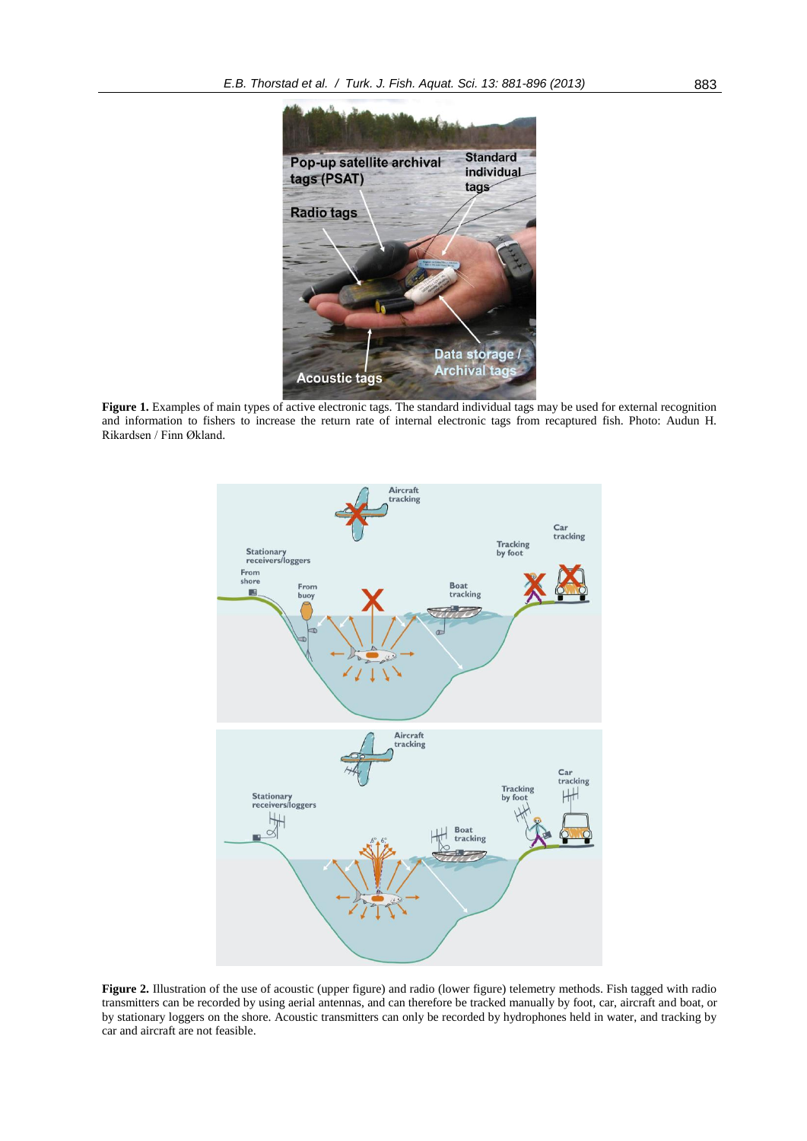

Figure 1. Examples of main types of active electronic tags. The standard individual tags may be used for external recognition and information to fishers to increase the return rate of internal electronic tags from recaptured fish. Photo: Audun H. Rikardsen / Finn Økland.



**Figure 2.** Illustration of the use of acoustic (upper figure) and radio (lower figure) telemetry methods. Fish tagged with radio transmitters can be recorded by using aerial antennas, and can therefore be tracked manually by foot, car, aircraft and boat, or by stationary loggers on the shore. Acoustic transmitters can only be recorded by hydrophones held in water, and tracking by car and aircraft are not feasible.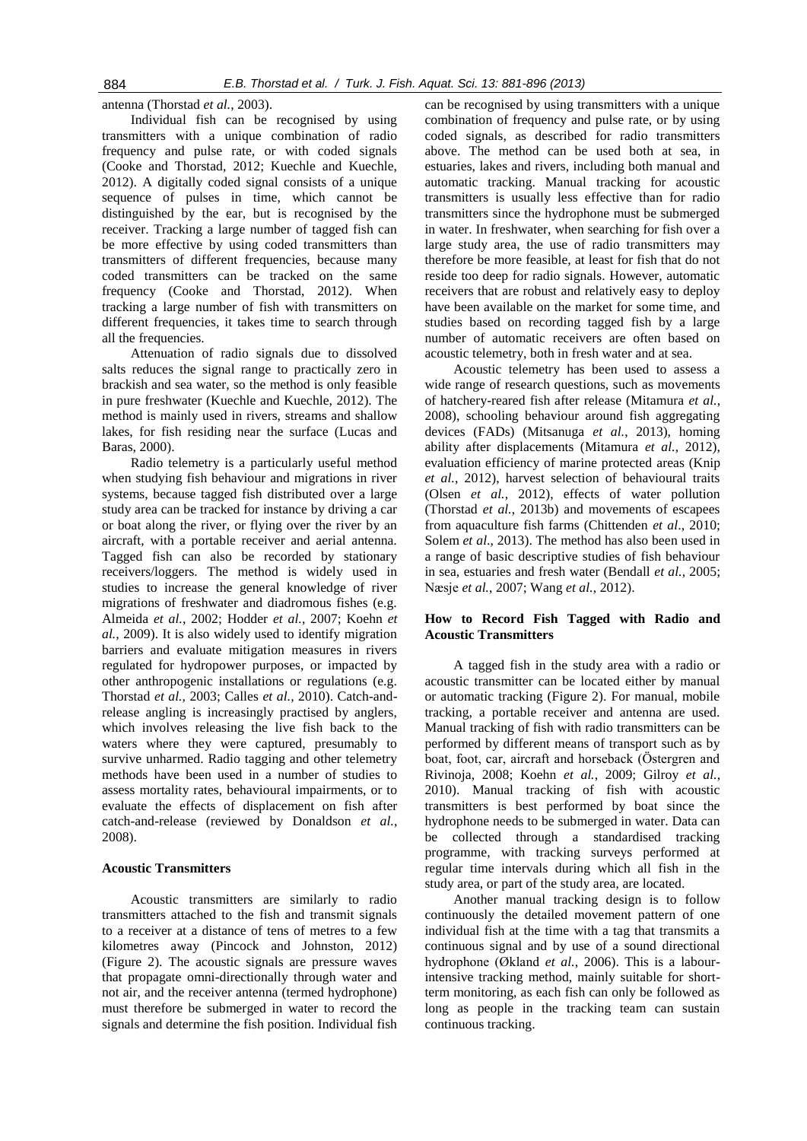antenna (Thorstad *et al.,* 2003).

Individual fish can be recognised by using transmitters with a unique combination of radio frequency and pulse rate, or with coded signals (Cooke and Thorstad, 2012; Kuechle and Kuechle, 2012). A digitally coded signal consists of a unique sequence of pulses in time, which cannot be distinguished by the ear, but is recognised by the receiver. Tracking a large number of tagged fish can be more effective by using coded transmitters than transmitters of different frequencies, because many coded transmitters can be tracked on the same frequency (Cooke and Thorstad, 2012). When tracking a large number of fish with transmitters on different frequencies, it takes time to search through all the frequencies.

Attenuation of radio signals due to dissolved salts reduces the signal range to practically zero in brackish and sea water, so the method is only feasible in pure freshwater (Kuechle and Kuechle, 2012). The method is mainly used in rivers, streams and shallow lakes, for fish residing near the surface (Lucas and Baras, 2000).

Radio telemetry is a particularly useful method when studying fish behaviour and migrations in river systems, because tagged fish distributed over a large study area can be tracked for instance by driving a car or boat along the river, or flying over the river by an aircraft, with a portable receiver and aerial antenna. Tagged fish can also be recorded by stationary receivers/loggers. The method is widely used in studies to increase the general knowledge of river migrations of freshwater and diadromous fishes (e.g. Almeida *et al.*, 2002; Hodder *et al.*, 2007; Koehn *et al.*, 2009). It is also widely used to identify migration barriers and evaluate mitigation measures in rivers regulated for hydropower purposes, or impacted by other anthropogenic installations or regulations (e.g. Thorstad *et al.,* 2003; Calles *et al.,* 2010). Catch-andrelease angling is increasingly practised by anglers, which involves releasing the live fish back to the waters where they were captured, presumably to survive unharmed. Radio tagging and other telemetry methods have been used in a number of studies to assess mortality rates, behavioural impairments, or to evaluate the effects of displacement on fish after catch-and-release (reviewed by Donaldson *et al.*, 2008).

# **Acoustic Transmitters**

Acoustic transmitters are similarly to radio transmitters attached to the fish and transmit signals to a receiver at a distance of tens of metres to a few kilometres away (Pincock and Johnston, 2012) (Figure 2). The acoustic signals are pressure waves that propagate omni-directionally through water and not air, and the receiver antenna (termed hydrophone) must therefore be submerged in water to record the signals and determine the fish position. Individual fish

can be recognised by using transmitters with a unique combination of frequency and pulse rate, or by using coded signals, as described for radio transmitters above. The method can be used both at sea, in estuaries, lakes and rivers, including both manual and automatic tracking. Manual tracking for acoustic transmitters is usually less effective than for radio transmitters since the hydrophone must be submerged in water. In freshwater, when searching for fish over a large study area, the use of radio transmitters may therefore be more feasible, at least for fish that do not reside too deep for radio signals. However, automatic receivers that are robust and relatively easy to deploy have been available on the market for some time, and studies based on recording tagged fish by a large number of automatic receivers are often based on acoustic telemetry, both in fresh water and at sea.

Acoustic telemetry has been used to assess a wide range of research questions, such as movements of hatchery-reared fish after release (Mitamura *et al.*, 2008), schooling behaviour around fish aggregating devices (FADs) (Mitsanuga *et al.*, 2013), homing ability after displacements (Mitamura *et al.*, 2012), evaluation efficiency of marine protected areas (Knip *et al.*, 2012), harvest selection of behavioural traits (Olsen *et al.*, 2012), effects of water pollution (Thorstad *et al.*, 2013b) and movements of escapees from aquaculture fish farms (Chittenden *et al*., 2010; Solem *et al*., 2013). The method has also been used in a range of basic descriptive studies of fish behaviour in sea, estuaries and fresh water (Bendall *et al.,* 2005; Næsje *et al.*, 2007; Wang *et al.*, 2012).

### **How to Record Fish Tagged with Radio and Acoustic Transmitters**

A tagged fish in the study area with a radio or acoustic transmitter can be located either by manual or automatic tracking (Figure 2). For manual, mobile tracking, a portable receiver and antenna are used. Manual tracking of fish with radio transmitters can be performed by different means of transport such as by boat, foot, car, aircraft and horseback (Östergren and Rivinoja, 2008; Koehn *et al.*, 2009; Gilroy *et al.*, 2010). Manual tracking of fish with acoustic transmitters is best performed by boat since the hydrophone needs to be submerged in water. Data can be collected through a standardised tracking programme, with tracking surveys performed at regular time intervals during which all fish in the study area, or part of the study area, are located.

Another manual tracking design is to follow continuously the detailed movement pattern of one individual fish at the time with a tag that transmits a continuous signal and by use of a sound directional hydrophone (Økland *et al.*, 2006). This is a labourintensive tracking method, mainly suitable for shortterm monitoring, as each fish can only be followed as long as people in the tracking team can sustain continuous tracking.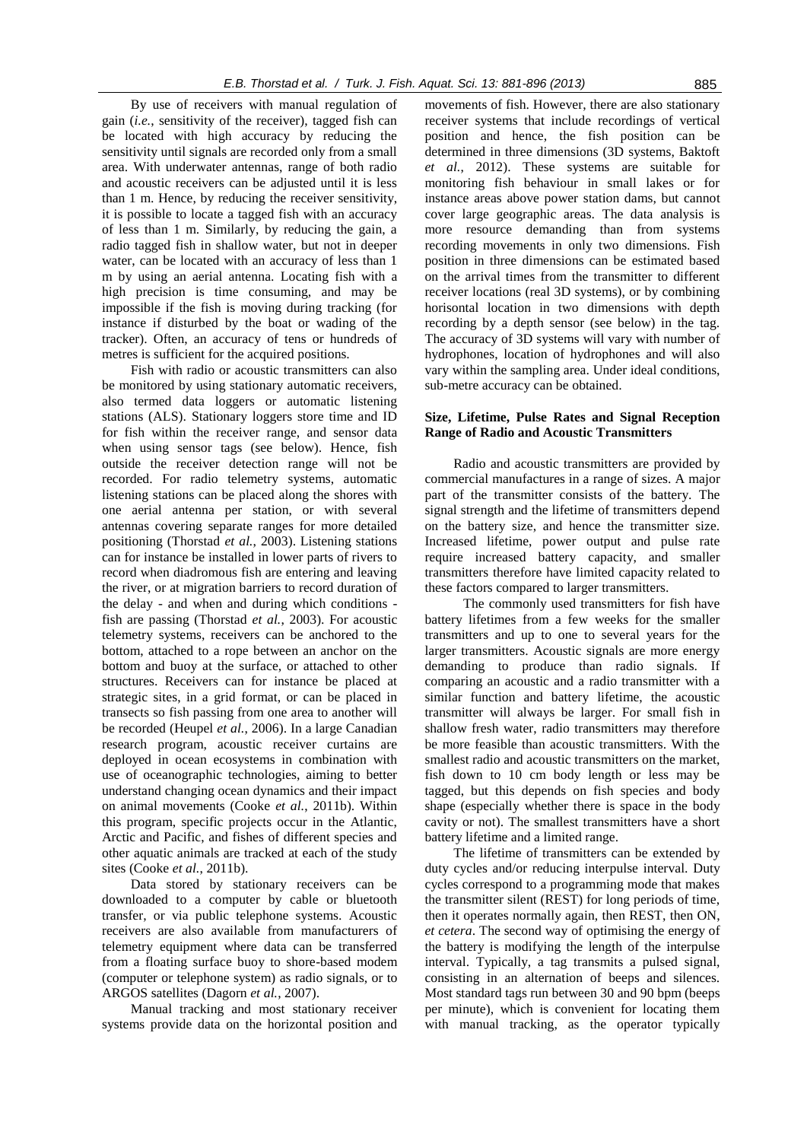By use of receivers with manual regulation of gain (*i.e.*, sensitivity of the receiver), tagged fish can be located with high accuracy by reducing the sensitivity until signals are recorded only from a small area. With underwater antennas, range of both radio and acoustic receivers can be adjusted until it is less than 1 m. Hence, by reducing the receiver sensitivity, it is possible to locate a tagged fish with an accuracy of less than 1 m. Similarly, by reducing the gain, a radio tagged fish in shallow water, but not in deeper water, can be located with an accuracy of less than 1 m by using an aerial antenna. Locating fish with a high precision is time consuming, and may be impossible if the fish is moving during tracking (for instance if disturbed by the boat or wading of the tracker). Often, an accuracy of tens or hundreds of metres is sufficient for the acquired positions.

Fish with radio or acoustic transmitters can also be monitored by using stationary automatic receivers, also termed data loggers or automatic listening stations (ALS). Stationary loggers store time and ID for fish within the receiver range, and sensor data when using sensor tags (see below). Hence, fish outside the receiver detection range will not be recorded. For radio telemetry systems, automatic listening stations can be placed along the shores with one aerial antenna per station, or with several antennas covering separate ranges for more detailed positioning (Thorstad *et al.*, 2003). Listening stations can for instance be installed in lower parts of rivers to record when diadromous fish are entering and leaving the river, or at migration barriers to record duration of the delay - and when and during which conditions fish are passing (Thorstad *et al.*, 2003). For acoustic telemetry systems, receivers can be anchored to the bottom, attached to a rope between an anchor on the bottom and buoy at the surface, or attached to other structures. Receivers can for instance be placed at strategic sites, in a grid format, or can be placed in transects so fish passing from one area to another will be recorded (Heupel *et al.*, 2006). In a large Canadian research program, acoustic receiver curtains are deployed in ocean ecosystems in combination with use of oceanographic technologies, aiming to better understand changing ocean dynamics and their impact on animal movements (Cooke *et al.*, 2011b). Within this program, specific projects occur in the Atlantic, Arctic and Pacific, and fishes of different species and other aquatic animals are tracked at each of the study sites (Cooke *et al.*, 2011b).

Data stored by stationary receivers can be downloaded to a computer by cable or bluetooth transfer, or via public telephone systems. Acoustic receivers are also available from manufacturers of telemetry equipment where data can be transferred from a floating surface buoy to shore-based modem (computer or telephone system) as radio signals, or to ARGOS satellites (Dagorn *et al.*, 2007).

Manual tracking and most stationary receiver systems provide data on the horizontal position and

movements of fish. However, there are also stationary receiver systems that include recordings of vertical position and hence, the fish position can be determined in three dimensions (3D systems, Baktoft *et al.*, 2012). These systems are suitable for monitoring fish behaviour in small lakes or for instance areas above power station dams, but cannot cover large geographic areas. The data analysis is more resource demanding than from systems recording movements in only two dimensions. Fish position in three dimensions can be estimated based on the arrival times from the transmitter to different receiver locations (real 3D systems), or by combining horisontal location in two dimensions with depth recording by a depth sensor (see below) in the tag. The accuracy of 3D systems will vary with number of hydrophones, location of hydrophones and will also vary within the sampling area. Under ideal conditions, sub-metre accuracy can be obtained.

#### **Size, Lifetime, Pulse Rates and Signal Reception Range of Radio and Acoustic Transmitters**

Radio and acoustic transmitters are provided by commercial manufactures in a range of sizes. A major part of the transmitter consists of the battery. The signal strength and the lifetime of transmitters depend on the battery size, and hence the transmitter size. Increased lifetime, power output and pulse rate require increased battery capacity, and smaller transmitters therefore have limited capacity related to these factors compared to larger transmitters.

The commonly used transmitters for fish have battery lifetimes from a few weeks for the smaller transmitters and up to one to several years for the larger transmitters. Acoustic signals are more energy demanding to produce than radio signals. If comparing an acoustic and a radio transmitter with a similar function and battery lifetime, the acoustic transmitter will always be larger. For small fish in shallow fresh water, radio transmitters may therefore be more feasible than acoustic transmitters. With the smallest radio and acoustic transmitters on the market, fish down to 10 cm body length or less may be tagged, but this depends on fish species and body shape (especially whether there is space in the body cavity or not). The smallest transmitters have a short battery lifetime and a limited range.

The lifetime of transmitters can be extended by duty cycles and/or reducing interpulse interval. Duty cycles correspond to a programming mode that makes the transmitter silent (REST) for long periods of time, then it operates normally again, then REST, then ON, *et cetera*. The second way of optimising the energy of the battery is modifying the length of the interpulse interval. Typically, a tag transmits a pulsed signal, consisting in an alternation of beeps and silences. Most standard tags run between 30 and 90 bpm (beeps per minute), which is convenient for locating them with manual tracking, as the operator typically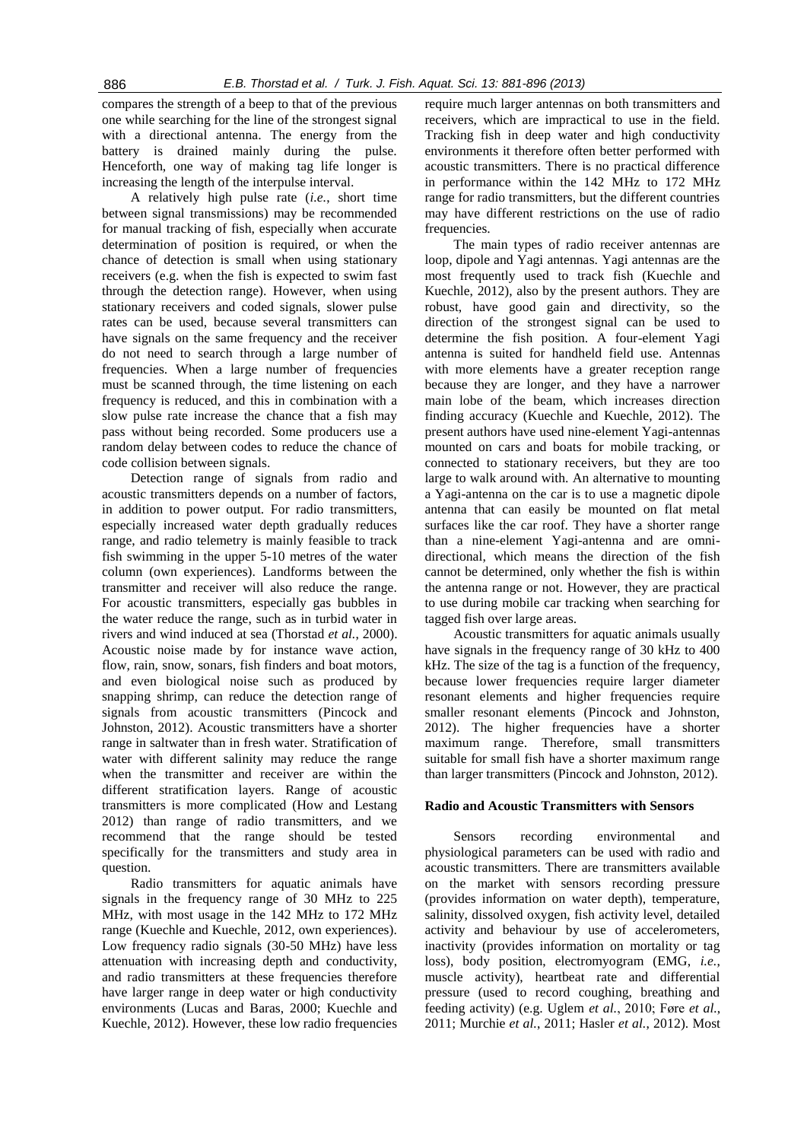compares the strength of a beep to that of the previous one while searching for the line of the strongest signal with a directional antenna. The energy from the battery is drained mainly during the pulse. Henceforth, one way of making tag life longer is increasing the length of the interpulse interval.

A relatively high pulse rate (*i.e.*, short time between signal transmissions) may be recommended for manual tracking of fish, especially when accurate determination of position is required, or when the chance of detection is small when using stationary receivers (e.g. when the fish is expected to swim fast through the detection range). However, when using stationary receivers and coded signals, slower pulse rates can be used, because several transmitters can have signals on the same frequency and the receiver do not need to search through a large number of frequencies. When a large number of frequencies must be scanned through, the time listening on each frequency is reduced, and this in combination with a slow pulse rate increase the chance that a fish may pass without being recorded. Some producers use a random delay between codes to reduce the chance of code collision between signals.

Detection range of signals from radio and acoustic transmitters depends on a number of factors, in addition to power output. For radio transmitters, especially increased water depth gradually reduces range, and radio telemetry is mainly feasible to track fish swimming in the upper 5-10 metres of the water column (own experiences). Landforms between the transmitter and receiver will also reduce the range. For acoustic transmitters, especially gas bubbles in the water reduce the range, such as in turbid water in rivers and wind induced at sea (Thorstad *et al.*, 2000). Acoustic noise made by for instance wave action, flow, rain, snow, sonars, fish finders and boat motors, and even biological noise such as produced by snapping shrimp, can reduce the detection range of signals from acoustic transmitters (Pincock and Johnston, 2012). Acoustic transmitters have a shorter range in saltwater than in fresh water. Stratification of water with different salinity may reduce the range when the transmitter and receiver are within the different stratification layers. Range of acoustic transmitters is more complicated (How and Lestang 2012) than range of radio transmitters, and we recommend that the range should be tested specifically for the transmitters and study area in question.

Radio transmitters for aquatic animals have signals in the frequency range of 30 MHz to 225 MHz, with most usage in the 142 MHz to 172 MHz range (Kuechle and Kuechle, 2012, own experiences). Low frequency radio signals (30-50 MHz) have less attenuation with increasing depth and conductivity, and radio transmitters at these frequencies therefore have larger range in deep water or high conductivity environments (Lucas and Baras, 2000; Kuechle and Kuechle, 2012). However, these low radio frequencies require much larger antennas on both transmitters and receivers, which are impractical to use in the field. Tracking fish in deep water and high conductivity environments it therefore often better performed with acoustic transmitters. There is no practical difference in performance within the 142 MHz to 172 MHz range for radio transmitters, but the different countries may have different restrictions on the use of radio frequencies.

The main types of radio receiver antennas are loop, dipole and Yagi antennas. Yagi antennas are the most frequently used to track fish (Kuechle and Kuechle, 2012), also by the present authors. They are robust, have good gain and directivity, so the direction of the strongest signal can be used to determine the fish position. A four-element Yagi antenna is suited for handheld field use. Antennas with more elements have a greater reception range because they are longer, and they have a narrower main lobe of the beam, which increases direction finding accuracy (Kuechle and Kuechle, 2012). The present authors have used nine-element Yagi-antennas mounted on cars and boats for mobile tracking, or connected to stationary receivers, but they are too large to walk around with. An alternative to mounting a Yagi-antenna on the car is to use a magnetic dipole antenna that can easily be mounted on flat metal surfaces like the car roof. They have a shorter range than a nine-element Yagi-antenna and are omnidirectional, which means the direction of the fish cannot be determined, only whether the fish is within the antenna range or not. However, they are practical to use during mobile car tracking when searching for tagged fish over large areas.

Acoustic transmitters for aquatic animals usually have signals in the frequency range of 30 kHz to 400 kHz. The size of the tag is a function of the frequency, because lower frequencies require larger diameter resonant elements and higher frequencies require smaller resonant elements (Pincock and Johnston, 2012). The higher frequencies have a shorter maximum range. Therefore, small transmitters suitable for small fish have a shorter maximum range than larger transmitters (Pincock and Johnston, 2012).

#### **Radio and Acoustic Transmitters with Sensors**

Sensors recording environmental and physiological parameters can be used with radio and acoustic transmitters. There are transmitters available on the market with sensors recording pressure (provides information on water depth), temperature, salinity, dissolved oxygen, fish activity level, detailed activity and behaviour by use of accelerometers, inactivity (provides information on mortality or tag loss), body position, electromyogram (EMG, *i.e.*, muscle activity), heartbeat rate and differential pressure (used to record coughing, breathing and feeding activity) (e.g. Uglem *et al.*, 2010; Føre *et al.*, 2011; Murchie *et al.*, 2011; Hasler *et al.*, 2012). Most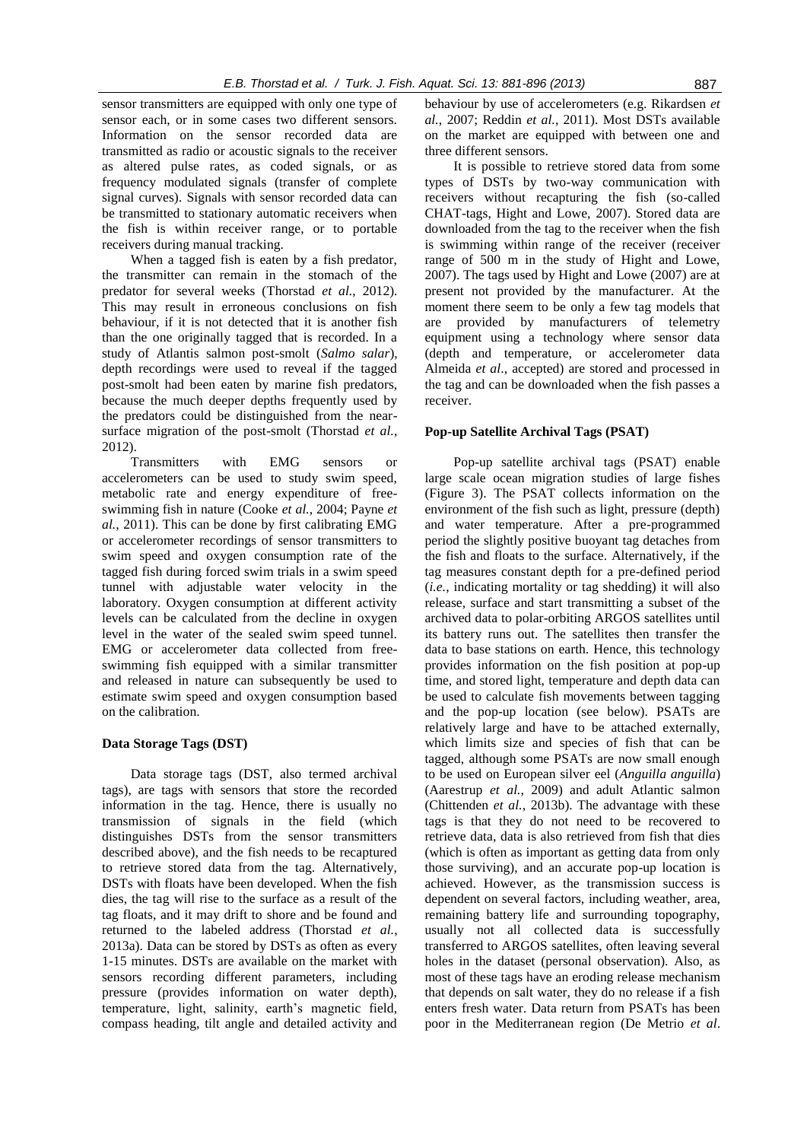sensor transmitters are equipped with only one type of sensor each, or in some cases two different sensors. Information on the sensor recorded data are transmitted as radio or acoustic signals to the receiver as altered pulse rates, as coded signals, or as frequency modulated signals (transfer of complete signal curves). Signals with sensor recorded data can be transmitted to stationary automatic receivers when the fish is within receiver range, or to portable receivers during manual tracking.

When a tagged fish is eaten by a fish predator, the transmitter can remain in the stomach of the predator for several weeks (Thorstad *et al.*, 2012). This may result in erroneous conclusions on fish behaviour, if it is not detected that it is another fish than the one originally tagged that is recorded. In a study of Atlantis salmon post-smolt (*Salmo salar*), depth recordings were used to reveal if the tagged post-smolt had been eaten by marine fish predators, because the much deeper depths frequently used by the predators could be distinguished from the nearsurface migration of the post-smolt (Thorstad *et al.*, 2012).

Transmitters with EMG sensors or accelerometers can be used to study swim speed, metabolic rate and energy expenditure of freeswimming fish in nature (Cooke *et al.,* 2004; Payne *et al.*, 2011). This can be done by first calibrating EMG or accelerometer recordings of sensor transmitters to swim speed and oxygen consumption rate of the tagged fish during forced swim trials in a swim speed tunnel with adjustable water velocity in the laboratory. Oxygen consumption at different activity levels can be calculated from the decline in oxygen level in the water of the sealed swim speed tunnel. EMG or accelerometer data collected from freeswimming fish equipped with a similar transmitter and released in nature can subsequently be used to estimate swim speed and oxygen consumption based on the calibration.

#### **Data Storage Tags (DST)**

Data storage tags (DST, also termed archival tags), are tags with sensors that store the recorded information in the tag. Hence, there is usually no transmission of signals in the field (which distinguishes DSTs from the sensor transmitters described above), and the fish needs to be recaptured to retrieve stored data from the tag. Alternatively, DSTs with floats have been developed. When the fish dies, the tag will rise to the surface as a result of the tag floats, and it may drift to shore and be found and returned to the labeled address (Thorstad *et al.*, 2013a). Data can be stored by DSTs as often as every 1-15 minutes. DSTs are available on the market with sensors recording different parameters, including pressure (provides information on water depth), temperature, light, salinity, earth's magnetic field, compass heading, tilt angle and detailed activity and behaviour by use of accelerometers (e.g. Rikardsen *et al.*, 2007; Reddin *et al.*, 2011). Most DSTs available on the market are equipped with between one and three different sensors.

It is possible to retrieve stored data from some types of DSTs by two-way communication with receivers without recapturing the fish (so-called CHAT-tags, Hight and Lowe, 2007). Stored data are downloaded from the tag to the receiver when the fish is swimming within range of the receiver (receiver range of 500 m in the study of Hight and Lowe, 2007). The tags used by Hight and Lowe (2007) are at present not provided by the manufacturer. At the moment there seem to be only a few tag models that are provided by manufacturers of telemetry equipment using a technology where sensor data (depth and temperature, or accelerometer data Almeida *et al*., accepted) are stored and processed in the tag and can be downloaded when the fish passes a receiver.

#### **Pop-up Satellite Archival Tags (PSAT)**

Pop-up satellite archival tags (PSAT) enable large scale ocean migration studies of large fishes (Figure 3). The PSAT collects information on the environment of the fish such as light, pressure (depth) and water temperature. After a pre-programmed period the slightly positive buoyant tag detaches from the fish and floats to the surface. Alternatively, if the tag measures constant depth for a pre-defined period (*i.e.*, indicating mortality or tag shedding) it will also release, surface and start transmitting a subset of the archived data to polar-orbiting ARGOS satellites until its battery runs out. The satellites then transfer the data to base stations on earth. Hence, this technology provides information on the fish position at pop-up time, and stored light, temperature and depth data can be used to calculate fish movements between tagging and the pop-up location (see below). PSATs are relatively large and have to be attached externally, which limits size and species of fish that can be tagged, although some PSATs are now small enough to be used on European silver eel (*Anguilla anguilla*) (Aarestrup *et al.*, 2009) and adult Atlantic salmon (Chittenden *et al.*, 2013b). The advantage with these tags is that they do not need to be recovered to retrieve data, data is also retrieved from fish that dies (which is often as important as getting data from only those surviving), and an accurate pop-up location is achieved. However, as the transmission success is dependent on several factors, including weather, area, remaining battery life and surrounding topography, usually not all collected data is successfully transferred to ARGOS satellites, often leaving several holes in the dataset (personal observation). Also, as most of these tags have an eroding release mechanism that depends on salt water, they do no release if a fish enters fresh water. Data return from PSATs has been poor in the Mediterranean region (De Metrio *et al*.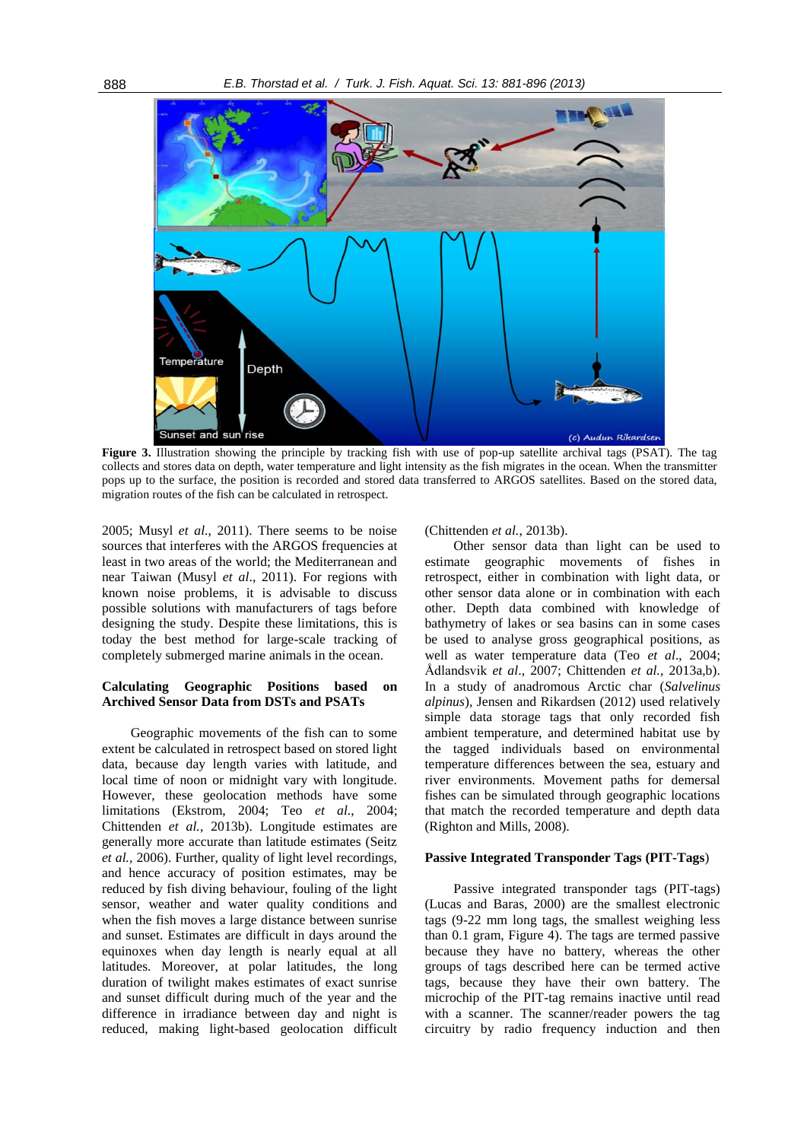

**Figure 3.** Illustration showing the principle by tracking fish with use of pop-up satellite archival tags (PSAT). The tag collects and stores data on depth, water temperature and light intensity as the fish migrates in the ocean. When the transmitter pops up to the surface, the position is recorded and stored data transferred to ARGOS satellites. Based on the stored data, migration routes of the fish can be calculated in retrospect.

2005; Musyl *et al*., 2011). There seems to be noise sources that interferes with the ARGOS frequencies at least in two areas of the world; the Mediterranean and near Taiwan (Musyl *et al*., 2011). For regions with known noise problems, it is advisable to discuss possible solutions with manufacturers of tags before designing the study. Despite these limitations, this is today the best method for large-scale tracking of completely submerged marine animals in the ocean.

#### **Calculating Geographic Positions based on Archived Sensor Data from DSTs and PSATs**

Geographic movements of the fish can to some extent be calculated in retrospect based on stored light data, because day length varies with latitude, and local time of noon or midnight vary with longitude. However, these geolocation methods have some limitations (Ekstrom, 2004; Teo *et al*., 2004; Chittenden *et al.*, 2013b). Longitude estimates are generally more accurate than latitude estimates (Seitz *et al.,* 2006). Further, quality of light level recordings, and hence accuracy of position estimates, may be reduced by fish diving behaviour, fouling of the light sensor, weather and water quality conditions and when the fish moves a large distance between sunrise and sunset. Estimates are difficult in days around the equinoxes when day length is nearly equal at all latitudes. Moreover, at polar latitudes, the long duration of twilight makes estimates of exact sunrise and sunset difficult during much of the year and the difference in irradiance between day and night is reduced, making light-based geolocation difficult (Chittenden *et al.*, 2013b).

Other sensor data than light can be used to estimate geographic movements of fishes in retrospect, either in combination with light data, or other sensor data alone or in combination with each other. Depth data combined with knowledge of bathymetry of lakes or sea basins can in some cases be used to analyse gross geographical positions, as well as water temperature data (Teo *et al*., 2004; Ådlandsvik *et al*., 2007; Chittenden *et al.*, 2013a,b). In a study of anadromous Arctic char (*Salvelinus alpinus*), Jensen and Rikardsen (2012) used relatively simple data storage tags that only recorded fish ambient temperature, and determined habitat use by the tagged individuals based on environmental temperature differences between the sea, estuary and river environments. Movement paths for demersal fishes can be simulated through geographic locations that match the recorded temperature and depth data (Righton and Mills, 2008).

#### **Passive Integrated Transponder Tags (PIT-Tags**)

Passive integrated transponder tags (PIT-tags) (Lucas and Baras, 2000) are the smallest electronic tags (9-22 mm long tags, the smallest weighing less than 0.1 gram, Figure 4). The tags are termed passive because they have no battery, whereas the other groups of tags described here can be termed active tags, because they have their own battery. The microchip of the PIT-tag remains inactive until read with a scanner. The scanner/reader powers the tag circuitry by radio frequency induction and then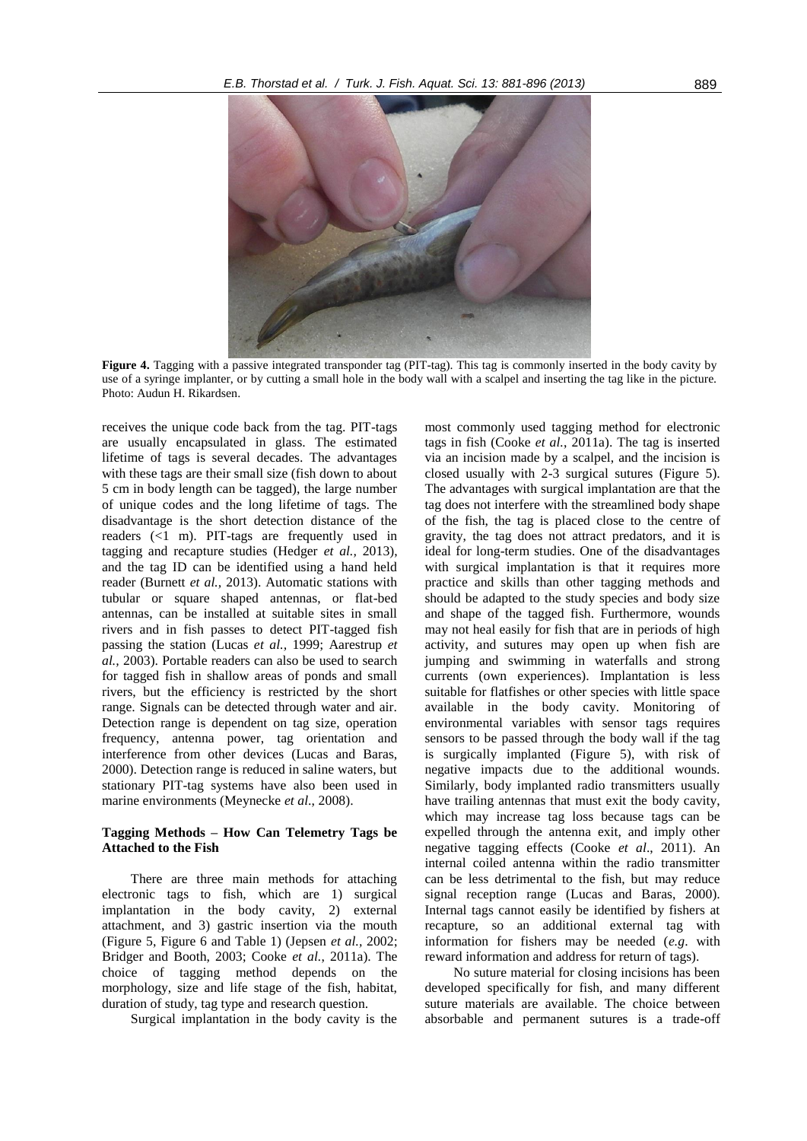

Figure 4. Tagging with a passive integrated transponder tag (PIT-tag). This tag is commonly inserted in the body cavity by use of a syringe implanter, or by cutting a small hole in the body wall with a scalpel and inserting the tag like in the picture. Photo: Audun H. Rikardsen.

receives the unique code back from the tag. PIT-tags are usually encapsulated in glass. The estimated lifetime of tags is several decades. The advantages with these tags are their small size (fish down to about 5 cm in body length can be tagged), the large number of unique codes and the long lifetime of tags. The disadvantage is the short detection distance of the readers (<1 m). PIT-tags are frequently used in tagging and recapture studies (Hedger *et al.,* 2013), and the tag ID can be identified using a hand held reader (Burnett *et al.,* 2013). Automatic stations with tubular or square shaped antennas, or flat-bed antennas, can be installed at suitable sites in small rivers and in fish passes to detect PIT-tagged fish passing the station (Lucas *et al.,* 1999; Aarestrup *et al.,* 2003). Portable readers can also be used to search for tagged fish in shallow areas of ponds and small rivers, but the efficiency is restricted by the short range. Signals can be detected through water and air. Detection range is dependent on tag size, operation frequency, antenna power, tag orientation and interference from other devices (Lucas and Baras, 2000). Detection range is reduced in saline waters, but stationary PIT-tag systems have also been used in marine environments (Meynecke *et al*., 2008).

# **Tagging Methods – How Can Telemetry Tags be Attached to the Fish**

There are three main methods for attaching electronic tags to fish, which are 1) surgical implantation in the body cavity, 2) external attachment, and 3) gastric insertion via the mouth (Figure 5, Figure 6 and Table 1) (Jepsen *et al.,* 2002; Bridger and Booth, 2003; Cooke *et al.*, 2011a). The choice of tagging method depends on the morphology, size and life stage of the fish, habitat, duration of study, tag type and research question.

Surgical implantation in the body cavity is the

most commonly used tagging method for electronic tags in fish (Cooke *et al.*, 2011a). The tag is inserted via an incision made by a scalpel, and the incision is closed usually with 2-3 surgical sutures (Figure 5). The advantages with surgical implantation are that the tag does not interfere with the streamlined body shape of the fish, the tag is placed close to the centre of gravity, the tag does not attract predators, and it is ideal for long-term studies. One of the disadvantages with surgical implantation is that it requires more practice and skills than other tagging methods and should be adapted to the study species and body size and shape of the tagged fish. Furthermore, wounds may not heal easily for fish that are in periods of high activity, and sutures may open up when fish are jumping and swimming in waterfalls and strong currents (own experiences). Implantation is less suitable for flatfishes or other species with little space available in the body cavity. Monitoring of environmental variables with sensor tags requires sensors to be passed through the body wall if the tag is surgically implanted (Figure 5), with risk of negative impacts due to the additional wounds. Similarly, body implanted radio transmitters usually have trailing antennas that must exit the body cavity, which may increase tag loss because tags can be expelled through the antenna exit, and imply other negative tagging effects (Cooke *et al*., 2011). An internal coiled antenna within the radio transmitter can be less detrimental to the fish, but may reduce signal reception range (Lucas and Baras, 2000). Internal tags cannot easily be identified by fishers at recapture, so an additional external tag with information for fishers may be needed (*e.g*. with reward information and address for return of tags).

No suture material for closing incisions has been developed specifically for fish, and many different suture materials are available. The choice between absorbable and permanent sutures is a trade-off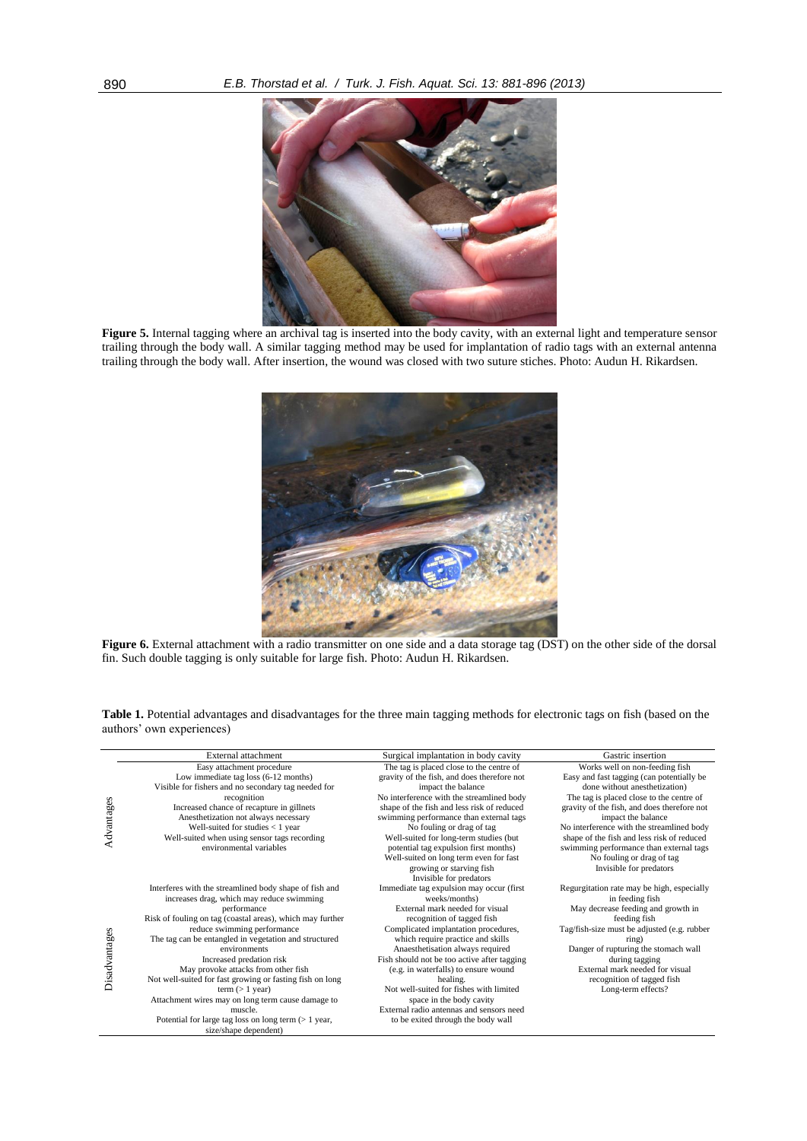

Figure 5. Internal tagging where an archival tag is inserted into the body cavity, with an external light and temperature sensor trailing through the body wall. A similar tagging method may be used for implantation of radio tags with an external antenna trailing through the body wall. After insertion, the wound was closed with two suture stiches. Photo: Audun H. Rikardsen.



Figure 6. External attachment with a radio transmitter on one side and a data storage tag (DST) on the other side of the dorsal fin. Such double tagging is only suitable for large fish. Photo: Audun H. Rikardsen.

**Table 1.** Potential advantages and disadvantages for the three main tagging methods for electronic tags on fish (based on the authors' own experiences)

|                             | External attachment                                                              | Surgical implantation in body cavity        | Gastric insertion                           |  |  |
|-----------------------------|----------------------------------------------------------------------------------|---------------------------------------------|---------------------------------------------|--|--|
| Advantages<br>Disadvantages | Easy attachment procedure                                                        | The tag is placed close to the centre of    | Works well on non-feeding fish              |  |  |
|                             | Low immediate tag loss (6-12 months)                                             | gravity of the fish, and does therefore not | Easy and fast tagging (can potentially be   |  |  |
|                             | Visible for fishers and no secondary tag needed for                              | impact the balance                          | done without anesthetization)               |  |  |
|                             | recognition                                                                      | No interference with the streamlined body   | The tag is placed close to the centre of    |  |  |
|                             | Increased chance of recapture in gillnets                                        | shape of the fish and less risk of reduced  | gravity of the fish, and does therefore not |  |  |
|                             | Anesthetization not always necessary                                             | swimming performance than external tags     | impact the balance                          |  |  |
|                             | Well-suited for studies $< 1$ year                                               | No fouling or drag of tag                   | No interference with the streamlined body   |  |  |
|                             | Well-suited when using sensor tags recording                                     | Well-suited for long-term studies (but      | shape of the fish and less risk of reduced  |  |  |
|                             | environmental variables                                                          | potential tag expulsion first months)       | swimming performance than external tags     |  |  |
|                             |                                                                                  | Well-suited on long term even for fast      | No fouling or drag of tag                   |  |  |
|                             |                                                                                  | growing or starving fish                    | Invisible for predators                     |  |  |
|                             |                                                                                  | Invisible for predators                     |                                             |  |  |
|                             | Interferes with the streamlined body shape of fish and                           | Immediate tag expulsion may occur (first    | Regurgitation rate may be high, especially  |  |  |
|                             | increases drag, which may reduce swimming                                        | weeks/months)                               | in feeding fish                             |  |  |
|                             | performance                                                                      | External mark needed for visual             | May decrease feeding and growth in          |  |  |
|                             | Risk of fouling on tag (coastal areas), which may further                        | recognition of tagged fish                  | feeding fish                                |  |  |
|                             | reduce swimming performance                                                      | Complicated implantation procedures,        | Tag/fish-size must be adjusted (e.g. rubber |  |  |
|                             | The tag can be entangled in vegetation and structured                            | which require practice and skills           | ring)                                       |  |  |
|                             | environments                                                                     | Anaesthetisation always required            | Danger of rupturing the stomach wall        |  |  |
|                             | Increased predation risk                                                         | Fish should not be too active after tagging | during tagging                              |  |  |
|                             | May provoke attacks from other fish                                              | (e.g. in waterfalls) to ensure wound        | External mark needed for visual             |  |  |
|                             | Not well-suited for fast growing or fasting fish on long                         | healing.                                    | recognition of tagged fish                  |  |  |
|                             | term $(>1$ year)                                                                 | Not well-suited for fishes with limited     | Long-term effects?                          |  |  |
|                             | Attachment wires may on long term cause damage to                                | space in the body cavity                    |                                             |  |  |
|                             | muscle.                                                                          | External radio antennas and sensors need    |                                             |  |  |
|                             | Potential for large tag loss on long term $($ > 1 year,<br>size/shape dependent) | to be exited through the body wall          |                                             |  |  |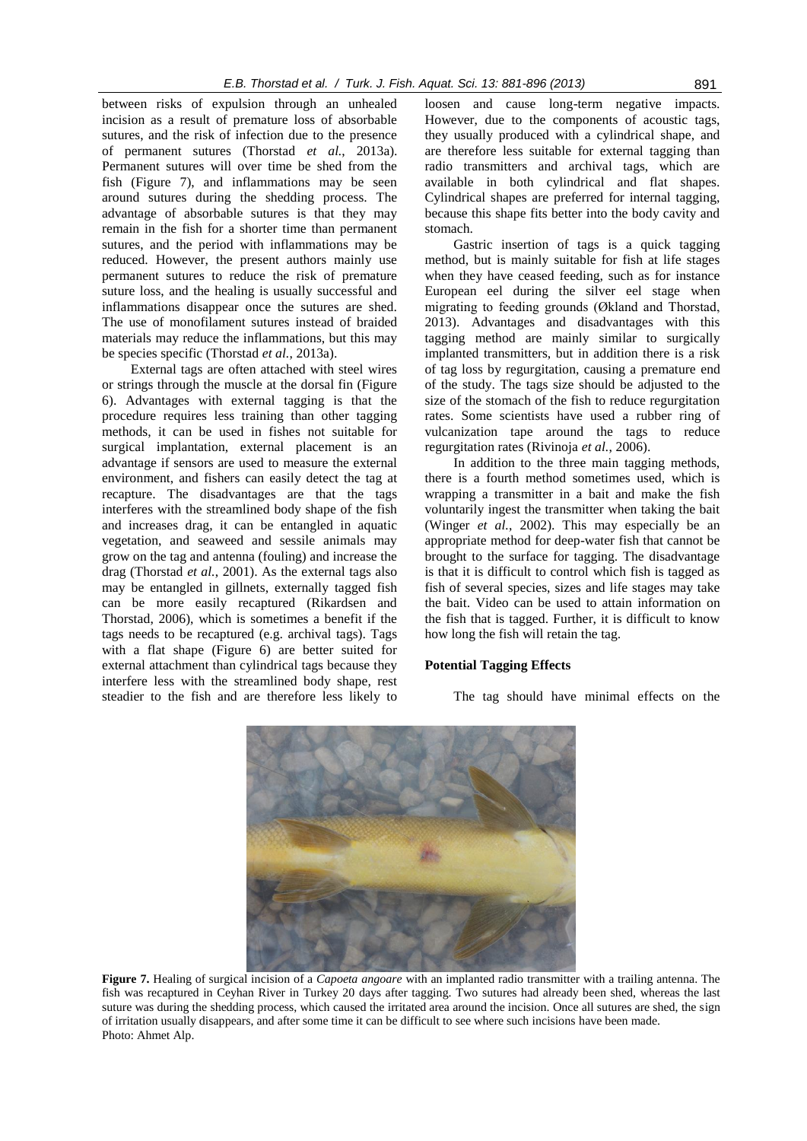between risks of expulsion through an unhealed incision as a result of premature loss of absorbable sutures, and the risk of infection due to the presence of permanent sutures (Thorstad *et al.*, 2013a). Permanent sutures will over time be shed from the fish (Figure 7), and inflammations may be seen around sutures during the shedding process. The advantage of absorbable sutures is that they may remain in the fish for a shorter time than permanent sutures, and the period with inflammations may be reduced. However, the present authors mainly use permanent sutures to reduce the risk of premature suture loss, and the healing is usually successful and inflammations disappear once the sutures are shed. The use of monofilament sutures instead of braided materials may reduce the inflammations, but this may be species specific (Thorstad *et al.*, 2013a).

External tags are often attached with steel wires or strings through the muscle at the dorsal fin (Figure 6). Advantages with external tagging is that the procedure requires less training than other tagging methods, it can be used in fishes not suitable for surgical implantation, external placement is an advantage if sensors are used to measure the external environment, and fishers can easily detect the tag at recapture. The disadvantages are that the tags interferes with the streamlined body shape of the fish and increases drag, it can be entangled in aquatic vegetation, and seaweed and sessile animals may grow on the tag and antenna (fouling) and increase the drag (Thorstad *et al.*, 2001). As the external tags also may be entangled in gillnets, externally tagged fish can be more easily recaptured (Rikardsen and Thorstad, 2006), which is sometimes a benefit if the tags needs to be recaptured (e.g. archival tags). Tags with a flat shape (Figure 6) are better suited for external attachment than cylindrical tags because they interfere less with the streamlined body shape, rest steadier to the fish and are therefore less likely to

loosen and cause long-term negative impacts. However, due to the components of acoustic tags, they usually produced with a cylindrical shape, and are therefore less suitable for external tagging than radio transmitters and archival tags, which are available in both cylindrical and flat shapes. Cylindrical shapes are preferred for internal tagging, because this shape fits better into the body cavity and stomach.

Gastric insertion of tags is a quick tagging method, but is mainly suitable for fish at life stages when they have ceased feeding, such as for instance European eel during the silver eel stage when migrating to feeding grounds (Økland and Thorstad, 2013). Advantages and disadvantages with this tagging method are mainly similar to surgically implanted transmitters, but in addition there is a risk of tag loss by regurgitation, causing a premature end of the study. The tags size should be adjusted to the size of the stomach of the fish to reduce regurgitation rates. Some scientists have used a rubber ring of vulcanization tape around the tags to reduce regurgitation rates (Rivinoja *et al.*, 2006).

In addition to the three main tagging methods, there is a fourth method sometimes used, which is wrapping a transmitter in a bait and make the fish voluntarily ingest the transmitter when taking the bait (Winger *et al.*, 2002). This may especially be an appropriate method for deep-water fish that cannot be brought to the surface for tagging. The disadvantage is that it is difficult to control which fish is tagged as fish of several species, sizes and life stages may take the bait. Video can be used to attain information on the fish that is tagged. Further, it is difficult to know how long the fish will retain the tag.

### **Potential Tagging Effects**

The tag should have minimal effects on the



**Figure 7.** Healing of surgical incision of a *Capoeta angoare* with an implanted radio transmitter with a trailing antenna. The fish was recaptured in Ceyhan River in Turkey 20 days after tagging. Two sutures had already been shed, whereas the last suture was during the shedding process, which caused the irritated area around the incision. Once all sutures are shed, the sign of irritation usually disappears, and after some time it can be difficult to see where such incisions have been made. Photo: Ahmet Alp.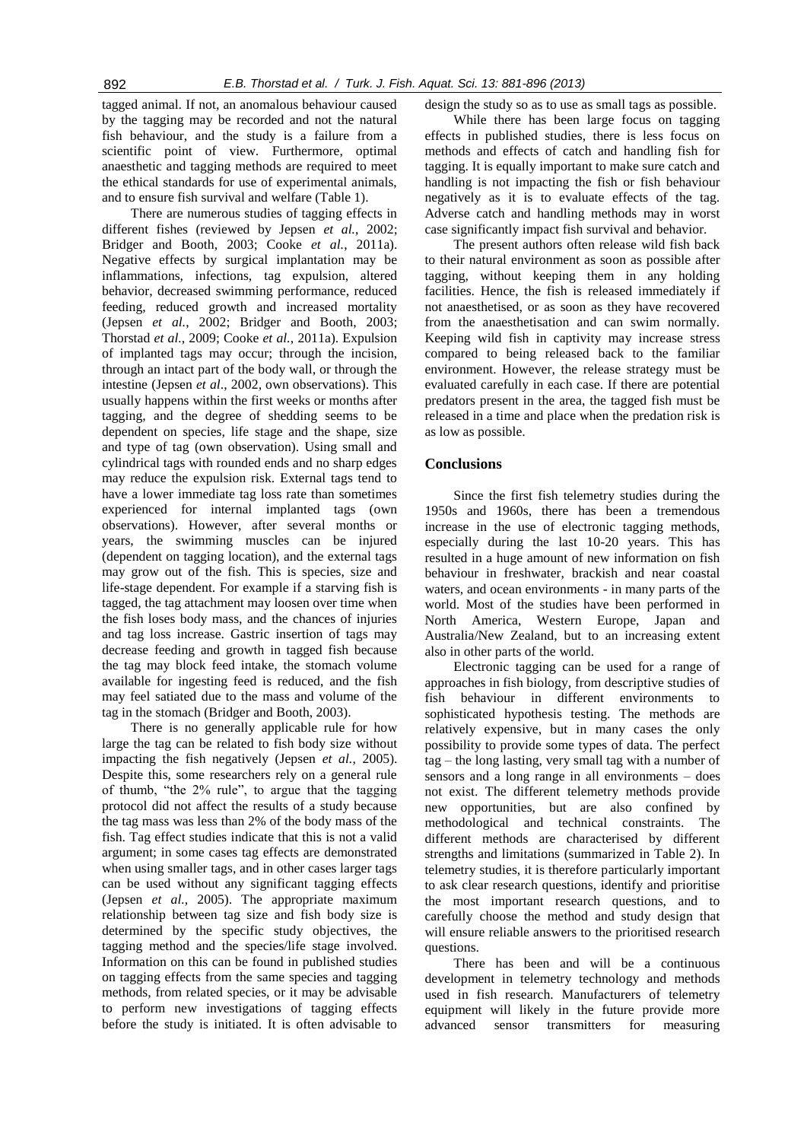tagged animal. If not, an anomalous behaviour caused by the tagging may be recorded and not the natural fish behaviour, and the study is a failure from a scientific point of view. Furthermore, optimal anaesthetic and tagging methods are required to meet the ethical standards for use of experimental animals, and to ensure fish survival and welfare (Table 1).

There are numerous studies of tagging effects in different fishes (reviewed by Jepsen *et al.*, 2002; Bridger and Booth, 2003; Cooke *et al.*, 2011a). Negative effects by surgical implantation may be inflammations, infections, tag expulsion, altered behavior, decreased swimming performance, reduced feeding, reduced growth and increased mortality (Jepsen *et al.*, 2002; Bridger and Booth, 2003; Thorstad *et al.*, 2009; Cooke *et al.*, 2011a). Expulsion of implanted tags may occur; through the incision, through an intact part of the body wall, or through the intestine (Jepsen *et al*., 2002, own observations). This usually happens within the first weeks or months after tagging, and the degree of shedding seems to be dependent on species, life stage and the shape, size and type of tag (own observation). Using small and cylindrical tags with rounded ends and no sharp edges may reduce the expulsion risk. External tags tend to have a lower immediate tag loss rate than sometimes experienced for internal implanted tags (own observations). However, after several months or years, the swimming muscles can be injured (dependent on tagging location), and the external tags may grow out of the fish. This is species, size and life-stage dependent. For example if a starving fish is tagged, the tag attachment may loosen over time when the fish loses body mass, and the chances of injuries and tag loss increase. Gastric insertion of tags may decrease feeding and growth in tagged fish because the tag may block feed intake, the stomach volume available for ingesting feed is reduced, and the fish may feel satiated due to the mass and volume of the tag in the stomach (Bridger and Booth, 2003).

There is no generally applicable rule for how large the tag can be related to fish body size without impacting the fish negatively (Jepsen *et al.*, 2005). Despite this, some researchers rely on a general rule of thumb, "the 2% rule", to argue that the tagging protocol did not affect the results of a study because the tag mass was less than 2% of the body mass of the fish. Tag effect studies indicate that this is not a valid argument; in some cases tag effects are demonstrated when using smaller tags, and in other cases larger tags can be used without any significant tagging effects (Jepsen *et al.*, 2005). The appropriate maximum relationship between tag size and fish body size is determined by the specific study objectives, the tagging method and the species/life stage involved. Information on this can be found in published studies on tagging effects from the same species and tagging methods, from related species, or it may be advisable to perform new investigations of tagging effects before the study is initiated. It is often advisable to design the study so as to use as small tags as possible.

While there has been large focus on tagging effects in published studies, there is less focus on methods and effects of catch and handling fish for tagging. It is equally important to make sure catch and handling is not impacting the fish or fish behaviour negatively as it is to evaluate effects of the tag. Adverse catch and handling methods may in worst case significantly impact fish survival and behavior.

The present authors often release wild fish back to their natural environment as soon as possible after tagging, without keeping them in any holding facilities. Hence, the fish is released immediately if not anaesthetised, or as soon as they have recovered from the anaesthetisation and can swim normally. Keeping wild fish in captivity may increase stress compared to being released back to the familiar environment. However, the release strategy must be evaluated carefully in each case. If there are potential predators present in the area, the tagged fish must be released in a time and place when the predation risk is as low as possible.

# **Conclusions**

Since the first fish telemetry studies during the 1950s and 1960s, there has been a tremendous increase in the use of electronic tagging methods, especially during the last 10-20 years. This has resulted in a huge amount of new information on fish behaviour in freshwater, brackish and near coastal waters, and ocean environments - in many parts of the world. Most of the studies have been performed in North America, Western Europe, Japan and Australia/New Zealand, but to an increasing extent also in other parts of the world.

Electronic tagging can be used for a range of approaches in fish biology, from descriptive studies of fish behaviour in different environments to sophisticated hypothesis testing. The methods are relatively expensive, but in many cases the only possibility to provide some types of data. The perfect tag – the long lasting, very small tag with a number of sensors and a long range in all environments – does not exist. The different telemetry methods provide new opportunities, but are also confined by methodological and technical constraints. The different methods are characterised by different strengths and limitations (summarized in Table 2). In telemetry studies, it is therefore particularly important to ask clear research questions, identify and prioritise the most important research questions, and to carefully choose the method and study design that will ensure reliable answers to the prioritised research questions.

There has been and will be a continuous development in telemetry technology and methods used in fish research. Manufacturers of telemetry equipment will likely in the future provide more advanced sensor transmitters for measuring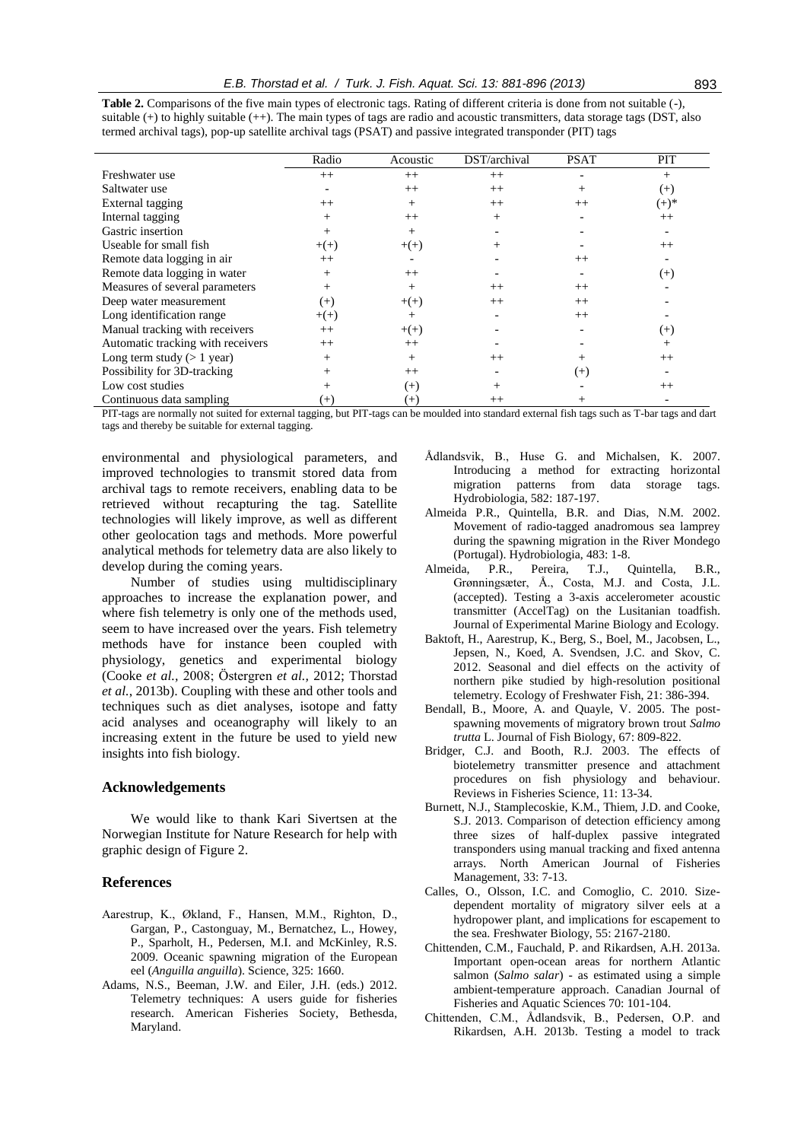|                                   | Radio    | Acoustic | DST/archival | <b>PSAT</b> | <b>PIT</b>         |
|-----------------------------------|----------|----------|--------------|-------------|--------------------|
| Freshwater use                    | $++$     | $++$     | $++$         |             | $^+$               |
| Saltwater use                     |          | $^{++}$  | $++$         |             | $^{(+)}$           |
| External tagging                  | $^{++}$  | $^{+}$   | $++$         | $^{++}$     | $^{(+)*}$          |
| Internal tagging                  | $^+$     | $++$     | $^+$         |             | $^{++}$            |
| Gastric insertion                 |          | $^{+}$   |              |             |                    |
| Useable for small fish            | $+(+)$   | $+(+)$   | $^+$         |             | $^{++}$            |
| Remote data logging in air        | $++$     |          |              | $^{++}$     |                    |
| Remote data logging in water      | $^{+}$   | $++$     |              |             | $^{(+)}$           |
| Measures of several parameters    |          |          | $^{++}$      | $^{++}$     |                    |
| Deep water measurement            | $^{(+)}$ | $+(+)$   | $++$         | $++$        |                    |
| Long identification range         | $+(+)$   | $^+$     |              | $^{++}$     |                    |
| Manual tracking with receivers    | $++$     | $+(+)$   |              |             | $^{(+)}$           |
| Automatic tracking with receivers | $++$     | $++$     |              |             | $\hskip 0.025cm +$ |
| Long term study $(> 1$ year)      | $^+$     | $^{+}$   | $^{++}$      |             | $^{++}$            |
| Possibility for 3D-tracking       |          | $++$     |              | $^{(+)}$    |                    |
| Low cost studies                  |          | $^{(+)}$ |              |             | $^{++}$            |
| Continuous data sampling          | $(+)$    | $(+)$    | $^{++}$      |             |                    |

**Table 2.** Comparisons of the five main types of electronic tags. Rating of different criteria is done from not suitable (-), suitable (+) to highly suitable (++). The main types of tags are radio and acoustic transmitters, data storage tags (DST, also termed archival tags), pop-up satellite archival tags (PSAT) and passive integrated transponder (PIT) tags

PIT-tags are normally not suited for external tagging, but PIT-tags can be moulded into standard external fish tags such as T-bar tags and dart tags and thereby be suitable for external tagging.

environmental and physiological parameters, and improved technologies to transmit stored data from archival tags to remote receivers, enabling data to be retrieved without recapturing the tag. Satellite technologies will likely improve, as well as different other geolocation tags and methods. More powerful analytical methods for telemetry data are also likely to develop during the coming years.

Number of studies using multidisciplinary approaches to increase the explanation power, and where fish telemetry is only one of the methods used, seem to have increased over the years. Fish telemetry methods have for instance been coupled with physiology, genetics and experimental biology (Cooke *et al.,* 2008; Östergren *et al.,* 2012; Thorstad *et al.*, 2013b). Coupling with these and other tools and techniques such as diet analyses, isotope and fatty acid analyses and oceanography will likely to an increasing extent in the future be used to yield new insights into fish biology.

### **Acknowledgements**

We would like to thank Kari Sivertsen at the Norwegian Institute for Nature Research for help with graphic design of Figure 2.

# **References**

- Aarestrup, K., Økland, F., Hansen, M.M., Righton, D., Gargan, P., Castonguay, M., Bernatchez, L., Howey, P., Sparholt, H., Pedersen, M.I. and McKinley, R.S. 2009. Oceanic spawning migration of the European eel (*Anguilla anguilla*). Science, 325: 1660.
- Adams, N.S., Beeman, J.W. and Eiler, J.H. (eds.) 2012. Telemetry techniques: A users guide for fisheries research. American Fisheries Society, Bethesda, Maryland.
- Ådlandsvik, B., Huse G. and Michalsen, K. 2007. Introducing a method for extracting horizontal migration patterns from data storage tags. Hydrobiologia, 582: 187-197.
- Almeida P.R., Quintella, B.R. and Dias, N.M. 2002. Movement of radio-tagged anadromous sea lamprey during the spawning migration in the River Mondego (Portugal). Hydrobiologia, 483: 1-8.
- Almeida, P.R., Pereira, T.J., Quintella, B.R., Grønningsæter, Å., Costa, M.J. and Costa, J.L. (accepted). Testing a 3-axis accelerometer acoustic transmitter (AccelTag) on the Lusitanian toadfish. Journal of Experimental Marine Biology and Ecology.
- Baktoft, H., Aarestrup, K., Berg, S., Boel, M., Jacobsen, L., Jepsen, N., Koed, A. Svendsen, J.C. and Skov, C. 2012. Seasonal and diel effects on the activity of northern pike studied by high-resolution positional telemetry. Ecology of Freshwater Fish, 21: 386-394.
- Bendall, B., Moore, A. and Quayle, V. 2005. The postspawning movements of migratory brown trout *Salmo trutta* L. Journal of Fish Biology, 67: 809-822.
- Bridger, C.J. and Booth, R.J. 2003. The effects of biotelemetry transmitter presence and attachment procedures on fish physiology and behaviour. Reviews in Fisheries Science, 11: 13-34.
- Burnett, N.J., Stamplecoskie, K.M., Thiem, J.D. and Cooke, S.J. 2013. Comparison of detection efficiency among three sizes of half-duplex passive integrated transponders using manual tracking and fixed antenna arrays. North American Journal of Fisheries Management, 33: 7-13.
- Calles, O., Olsson, I.C. and Comoglio, C. 2010. Sizedependent mortality of migratory silver eels at a hydropower plant, and implications for escapement to the sea. Freshwater Biology, 55: 2167-2180.
- Chittenden, C.M., Fauchald, P. and Rikardsen, A.H. 2013a. Important open-ocean areas for northern Atlantic salmon (*Salmo salar*) - as estimated using a simple ambient-temperature approach. Canadian Journal of Fisheries and Aquatic Sciences 70: 101-104.
- Chittenden, C.M., Ådlandsvik, B., Pedersen, O.P. and Rikardsen, A.H. 2013b. Testing a model to track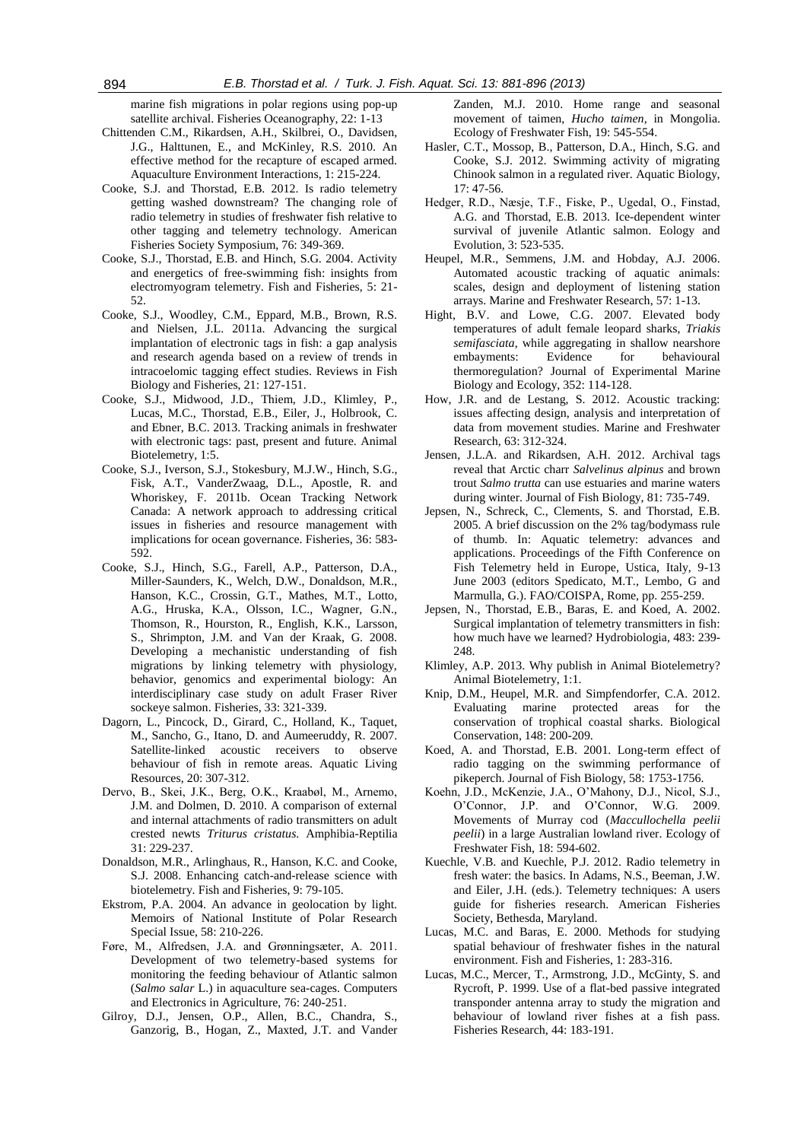marine fish migrations in polar regions using pop-up satellite archival. Fisheries Oceanography, 22: 1-13

- Chittenden C.M., Rikardsen, A.H., Skilbrei, O., Davidsen, J.G., Halttunen, E., and McKinley, R.S. 2010. An effective method for the recapture of escaped armed. Aquaculture Environment Interactions, 1: 215-224.
- Cooke, S.J. and Thorstad, E.B. 2012. Is radio telemetry getting washed downstream? The changing role of radio telemetry in studies of freshwater fish relative to other tagging and telemetry technology. American Fisheries Society Symposium, 76: 349-369.
- Cooke, S.J., Thorstad, E.B. and Hinch, S.G. 2004. Activity and energetics of free-swimming fish: insights from electromyogram telemetry. Fish and Fisheries, 5: 21- 52.
- Cooke, S.J., Woodley, C.M., Eppard, M.B., Brown, R.S. and Nielsen, J.L. 2011a. Advancing the surgical implantation of electronic tags in fish: a gap analysis and research agenda based on a review of trends in intracoelomic tagging effect studies. Reviews in Fish Biology and Fisheries, 21: 127-151.
- Cooke, S.J., Midwood, J.D., Thiem, J.D., Klimley, P., Lucas, M.C., Thorstad, E.B., Eiler, J., Holbrook, C. and Ebner, B.C. 2013. Tracking animals in freshwater with electronic tags: past, present and future. Animal Biotelemetry, 1:5.
- Cooke, S.J., Iverson, S.J., Stokesbury, M.J.W., Hinch, S.G., Fisk, A.T., VanderZwaag, D.L., Apostle, R. and Whoriskey, F. 2011b. Ocean Tracking Network Canada: A network approach to addressing critical issues in fisheries and resource management with implications for ocean governance. Fisheries, 36: 583- 592.
- Cooke, S.J., Hinch, S.G., Farell, A.P., Patterson, D.A., Miller-Saunders, K., Welch, D.W., Donaldson, M.R., Hanson, K.C., Crossin, G.T., Mathes, M.T., Lotto, A.G., Hruska, K.A., Olsson, I.C., Wagner, G.N., Thomson, R., Hourston, R., English, K.K., Larsson, S., Shrimpton, J.M. and Van der Kraak, G. 2008. Developing a mechanistic understanding of fish migrations by linking telemetry with physiology, behavior, genomics and experimental biology: An interdisciplinary case study on adult Fraser River sockeye salmon. Fisheries, 33: 321-339.
- Dagorn, L., Pincock, D., Girard, C., Holland, K., Taquet, M., Sancho, G., Itano, D. and Aumeeruddy, R. 2007. Satellite-linked acoustic receivers to observe behaviour of fish in remote areas. Aquatic Living Resources, 20: 307-312.
- Dervo, B., Skei, J.K., Berg, O.K., Kraabøl, M., Arnemo, J.M. and Dolmen, D. 2010. A comparison of external and internal attachments of radio transmitters on adult crested newts *Triturus cristatus*. Amphibia-Reptilia 31: 229-237.
- Donaldson, M.R., Arlinghaus, R., Hanson, K.C. and Cooke, S.J. 2008. Enhancing catch-and-release science with biotelemetry. Fish and Fisheries, 9: 79-105.
- Ekstrom, P.A. 2004. An advance in geolocation by light. Memoirs of National Institute of Polar Research Special Issue, 58: 210-226.
- Føre, M., Alfredsen, J.A. and Grønningsæter, A. 2011. Development of two telemetry-based systems for monitoring the feeding behaviour of Atlantic salmon (*Salmo salar* L.) in aquaculture sea-cages. Computers and Electronics in Agriculture, 76: 240-251.
- Gilroy, D.J., Jensen, O.P., Allen, B.C., Chandra, S., Ganzorig, B., Hogan, Z., Maxted, J.T. and Vander

Zanden, M.J. 2010. Home range and seasonal movement of taimen, *Hucho taimen*, in Mongolia. Ecology of Freshwater Fish, 19: 545-554.

- Hasler, C.T., Mossop, B., Patterson, D.A., Hinch, S.G. and Cooke, S.J. 2012. Swimming activity of migrating Chinook salmon in a regulated river. Aquatic Biology, 17: 47-56.
- Hedger, R.D., Næsje, T.F., Fiske, P., Ugedal, O., Finstad, A.G. and Thorstad, E.B. 2013. Ice-dependent winter survival of juvenile Atlantic salmon. Eology and Evolution, 3: 523-535.
- Heupel, M.R., Semmens, J.M. and Hobday, A.J. 2006. Automated acoustic tracking of aquatic animals: scales, design and deployment of listening station arrays. Marine and Freshwater Research, 57: 1-13.
- Hight, B.V. and Lowe, C.G. 2007. Elevated body temperatures of adult female leopard sharks, *Triakis semifasciata*, while aggregating in shallow nearshore embayments: Evidence for behavioural thermoregulation? Journal of Experimental Marine Biology and Ecology, 352: 114-128.
- How, J.R. and de Lestang, S. 2012. Acoustic tracking: issues affecting design, analysis and interpretation of data from movement studies. Marine and Freshwater Research, 63: 312-324.
- Jensen, J.L.A. and Rikardsen, A.H. 2012. Archival tags reveal that Arctic charr *Salvelinus alpinus* and brown trout *Salmo trutta* can use estuaries and marine waters during winter. Journal of Fish Biology, 81: 735-749.
- Jepsen, N., Schreck, C., Clements, S. and Thorstad, E.B. 2005. A brief discussion on the 2% tag/bodymass rule of thumb. In: Aquatic telemetry: advances and applications. Proceedings of the Fifth Conference on Fish Telemetry held in Europe, Ustica, Italy, 9-13 June 2003 (editors Spedicato, M.T., Lembo, G and Marmulla, G.). FAO/COISPA, Rome, pp. 255-259.
- Jepsen, N., Thorstad, E.B., Baras, E. and Koed, A. 2002. Surgical implantation of telemetry transmitters in fish: how much have we learned? Hydrobiologia*,* 483: 239- 248
- Klimley, A.P. 2013. Why publish in Animal Biotelemetry? Animal Biotelemetry, 1:1.
- Knip, D.M., Heupel, M.R. and Simpfendorfer, C.A. 2012. Evaluating marine protected areas for the conservation of trophical coastal sharks. Biological Conservation, 148: 200-209.
- Koed, A. and Thorstad, E.B. 2001. Long-term effect of radio tagging on the swimming performance of pikeperch. Journal of Fish Biology, 58: 1753-1756.
- Koehn, J.D., McKenzie, J.A., O'Mahony, D.J., Nicol, S.J., O'Connor, J.P. and O'Connor, W.G. 2009. Movements of Murray cod (*Maccullochella peelii peelii*) in a large Australian lowland river. Ecology of Freshwater Fish, 18: 594-602.
- Kuechle, V.B. and Kuechle, P.J. 2012. Radio telemetry in fresh water: the basics. In Adams, N.S., Beeman, J.W. and Eiler, J.H. (eds.). Telemetry techniques: A users guide for fisheries research. American Fisheries Society, Bethesda, Maryland.
- Lucas, M.C. and Baras, E. 2000. Methods for studying spatial behaviour of freshwater fishes in the natural environment. Fish and Fisheries, 1: 283-316.
- Lucas, M.C., Mercer, T., Armstrong, J.D., McGinty, S. and Rycroft, P. 1999. Use of a flat-bed passive integrated transponder antenna array to study the migration and behaviour of lowland river fishes at a fish pass. Fisheries Research, 44: 183-191.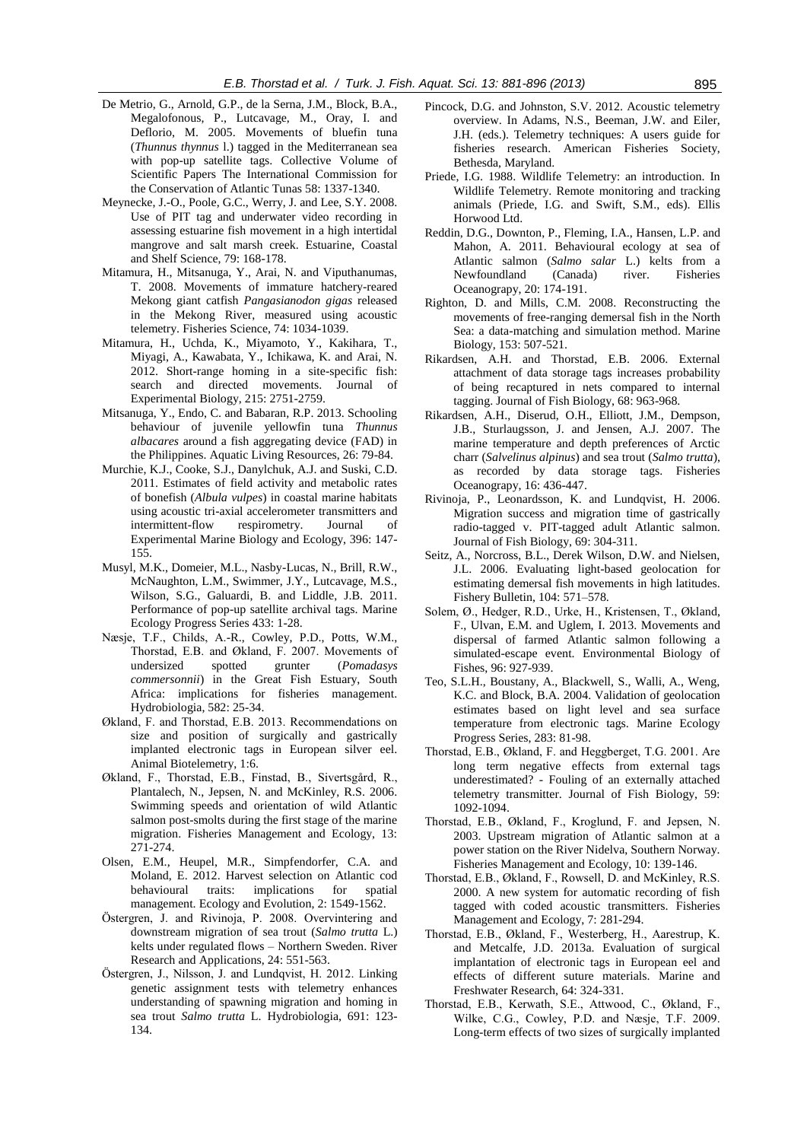- De Metrio, G., Arnold, G.P., de la Serna, J.M., Block, B.A., Megalofonous, P., Lutcavage, M., Oray, I. and Deflorio, M. 2005. Movements of bluefin tuna (*Thunnus thynnus* l.) tagged in the Mediterranean sea with pop-up satellite tags. Collective Volume of Scientific Papers The International Commission for the Conservation of Atlantic Tunas 58: 1337-1340.
- Meynecke, J.-O., Poole, G.C., Werry, J. and Lee, S.Y. 2008. Use of PIT tag and underwater video recording in assessing estuarine fish movement in a high intertidal mangrove and salt marsh creek. Estuarine, Coastal and Shelf Science, 79: 168-178.
- Mitamura, H., Mitsanuga, Y., Arai, N. and Viputhanumas, T. 2008. Movements of immature hatchery-reared Mekong giant catfish *Pangasianodon gigas* released in the Mekong River, measured using acoustic telemetry. Fisheries Science, 74: 1034-1039.
- Mitamura, H., Uchda, K., Miyamoto, Y., Kakihara, T., Miyagi, A., Kawabata, Y., Ichikawa, K. and Arai, N. 2012. Short-range homing in a site-specific fish: search and directed movements. Journal of Experimental Biology, 215: 2751-2759.
- Mitsanuga, Y., Endo, C. and Babaran, R.P. 2013. Schooling behaviour of juvenile yellowfin tuna *Thunnus albacares* around a fish aggregating device (FAD) in the Philippines. Aquatic Living Resources, 26: 79-84.
- Murchie, K.J., Cooke, S.J., Danylchuk, A.J. and Suski, C.D. 2011. Estimates of field activity and metabolic rates of bonefish (*Albula vulpes*) in coastal marine habitats using acoustic tri-axial accelerometer transmitters and intermittent-flow respirometry. Journal of Experimental Marine Biology and Ecology, 396: 147- 155.
- Musyl, M.K., Domeier, M.L., Nasby-Lucas, N., Brill, R.W., McNaughton, L.M., Swimmer, J.Y., Lutcavage, M.S., Wilson, S.G., Galuardi, B. and Liddle, J.B. 2011. Performance of pop-up satellite archival tags. Marine Ecology Progress Series 433: 1-28.
- Næsje, T.F., Childs, A.-R., Cowley, P.D., Potts, W.M., Thorstad, E.B. and Økland, F. 2007. Movements of undersized spotted grunter (*Pomadasys commersonnii*) in the Great Fish Estuary, South Africa: implications for fisheries management. Hydrobiologia, 582: 25-34.
- Økland, F. and Thorstad, E.B. 2013. Recommendations on size and position of surgically and gastrically implanted electronic tags in European silver eel. Animal Biotelemetry, 1:6.
- Økland, F., Thorstad, E.B., Finstad, B., Sivertsgård, R., Plantalech, N., Jepsen, N. and McKinley, R.S. 2006. Swimming speeds and orientation of wild Atlantic salmon post-smolts during the first stage of the marine migration. Fisheries Management and Ecology, 13: 271-274.
- Olsen, E.M., Heupel, M.R., Simpfendorfer, C.A. and Moland, E. 2012. Harvest selection on Atlantic cod behavioural traits: implications for spatial management. Ecology and Evolution, 2: 1549-1562.
- Östergren, J. and Rivinoja, P. 2008. Overvintering and downstream migration of sea trout (*Salmo trutta* L.) kelts under regulated flows – Northern Sweden. River Research and Applications, 24: 551-563.
- Östergren, J., Nilsson, J. and Lundqvist, H. 2012. Linking genetic assignment tests with telemetry enhances understanding of spawning migration and homing in sea trout *Salmo trutta* L. Hydrobiologia, 691: 123- 134.
- Pincock, D.G. and Johnston, S.V. 2012. Acoustic telemetry overview. In Adams, N.S., Beeman, J.W. and Eiler, J.H. (eds.). Telemetry techniques: A users guide for fisheries research. American Fisheries Society, Bethesda, Maryland.
- Priede, I.G. 1988. Wildlife Telemetry: an introduction. In Wildlife Telemetry. Remote monitoring and tracking animals (Priede, I.G. and Swift, S.M., eds). Ellis Horwood Ltd.
- Reddin, D.G., Downton, P., Fleming, I.A., Hansen, L.P. and Mahon, A. 2011. Behavioural ecology at sea of Atlantic salmon (*Salmo salar* L.) kelts from a Newfoundland (Canada) river. Fisheries Oceanograpy, 20: 174-191.
- Righton, D. and Mills, C.M. 2008. Reconstructing the movements of free-ranging demersal fish in the North Sea: a data-matching and simulation method. Marine Biology, 153: 507-521.
- Rikardsen, A.H. and Thorstad, E.B. 2006. External attachment of data storage tags increases probability of being recaptured in nets compared to internal tagging. Journal of Fish Biology, 68: 963-968.
- Rikardsen, A.H., Diserud, O.H., Elliott, J.M., Dempson, J.B., Sturlaugsson, J. and Jensen, A.J. 2007. The marine temperature and depth preferences of Arctic charr (*Salvelinus alpinus*) and sea trout (*Salmo trutta*), as recorded by data storage tags. Fisheries Oceanograpy, 16: 436-447.
- Rivinoja, P., Leonardsson, K. and Lundqvist, H. 2006. Migration success and migration time of gastrically radio-tagged v. PIT-tagged adult Atlantic salmon. Journal of Fish Biology, 69: 304-311.
- Seitz, A., Norcross, B.L., Derek Wilson, D.W. and Nielsen, J.L. 2006. Evaluating light-based geolocation for estimating demersal fish movements in high latitudes. Fishery Bulletin, 104: 571–578.
- Solem, Ø., Hedger, R.D., Urke, H., Kristensen, T., Økland, F., Ulvan, E.M. and Uglem, I. 2013. Movements and dispersal of farmed Atlantic salmon following a simulated-escape event. Environmental Biology of Fishes, 96: 927-939.
- Teo, S.L.H., Boustany, A., Blackwell, S., Walli, A., Weng, K.C. and Block, B.A. 2004. Validation of geolocation estimates based on light level and sea surface temperature from electronic tags. Marine Ecology Progress Series, 283: 81-98.
- Thorstad, E.B., Økland, F. and Heggberget, T.G. 2001. Are long term negative effects from external tags underestimated? - Fouling of an externally attached telemetry transmitter. Journal of Fish Biology, 59: 1092-1094.
- Thorstad, E.B., Økland, F., Kroglund, F. and Jepsen, N. 2003. Upstream migration of Atlantic salmon at a power station on the River Nidelva, Southern Norway. Fisheries Management and Ecology, 10: 139-146.
- Thorstad, E.B., Økland, F., Rowsell, D. and McKinley, R.S. 2000. A new system for automatic recording of fish tagged with coded acoustic transmitters. Fisheries Management and Ecology, 7: 281-294.
- Thorstad, E.B., Økland, F., Westerberg, H., Aarestrup, K. and Metcalfe, J.D. 2013a. Evaluation of surgical implantation of electronic tags in European eel and effects of different suture materials. Marine and Freshwater Research, 64: 324-331.
- Thorstad, E.B., Kerwath, S.E., Attwood, C., Økland, F., Wilke, C.G., Cowley, P.D. and Næsje, T.F. 2009. Long-term effects of two sizes of surgically implanted